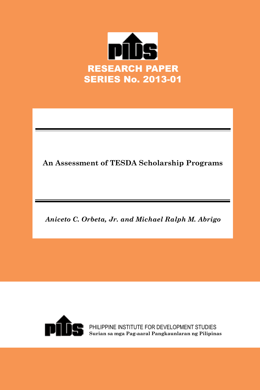

**An Assessment of TESDA Scholarship Programs**

*Aniceto C. Orbeta, Jr. and Michael Ralph M. Abrigo*



PHILIPPINE INSTITUTE FOR DEVELOPMENT STUDIES **Surian sa mga Pag-aaral Pangkaunlaran ng Pilipinas**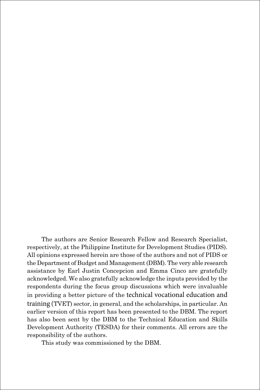The authors are Senior Research Fellow and Research Specialist, respectively, at the Philippine Institute for Development Studies (PIDS). All opinions expressed herein are those of the authors and not of PIDS or the Department of Budget and Management (DBM). The very able research assistance by Earl Justin Concepcion and Emma Cinco are gratefully acknowledged. We also gratefully acknowledge the inputs provided by the respondents during the focus group discussions which were invaluable in providing a better picture of the technical vocational education and training (TVET) sector, in general, and the scholarships, in particular. An earlier version of this report has been presented to the DBM. The report has also been sent by the DBM to the Technical Education and Skills Development Authority (TESDA) for their comments. All errors are the responsibility of the authors.

This study was commissioned by the DBM.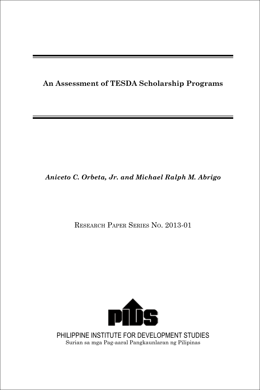**An Assessment of TESDA Scholarship Programs**

## *Aniceto C. Orbeta, Jr. and Michael Ralph M. Abrigo*

Research Paper Series No. 2013-01



PHILIPPINE INSTITUTE FOR DEVELOPMENT STUDIES Surian sa mga Pag-aaral Pangkaunlaran ng Pilipinas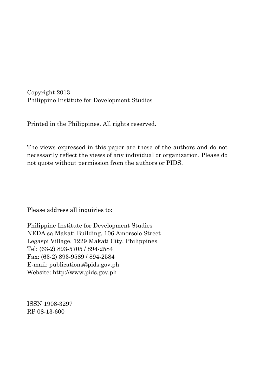Copyright 2013 Philippine Institute for Development Studies

Printed in the Philippines. All rights reserved.

The views expressed in this paper are those of the authors and do not necessarily reflect the views of any individual or organization. Please do not quote without permission from the authors or PIDS.

Please address all inquiries to:

Philippine Institute for Development Studies NEDA sa Makati Building, 106 Amorsolo Street Legaspi Village, 1229 Makati City, Philippines Tel: (63-2) 893-5705 / 894-2584 Fax: (63-2) 893-9589 / 894-2584 E-mail: publications@pids.gov.ph Website: http://www.pids.gov.ph

ISSN 1908-3297 RP 08-13-600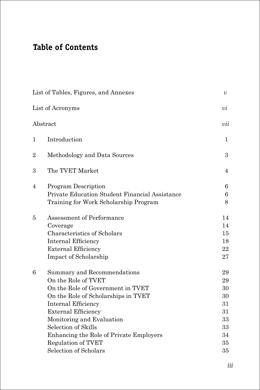## **Table of Contents**

|                | List of Tables, Figures, and Annexes           | υ                |
|----------------|------------------------------------------------|------------------|
|                | List of Acronyms                               | υi               |
|                | Abstract                                       | vii              |
| 1              | Introduction                                   | $\mathbf 1$      |
| $\overline{2}$ | Methodology and Data Sources                   | $\boldsymbol{3}$ |
| 3              | The TVET Market                                | 4                |
| 4              | <b>Program Description</b>                     | 6                |
|                | Private Education Student Financial Assistance | 6                |
|                | Training for Work Scholarship Program          | 8                |
| 5              | Assessment of Performance                      | 14               |
|                | Coverage                                       | 14               |
|                | Characteristics of Scholars                    | 15               |
|                | Internal Efficiency                            | 18               |
|                | <b>External Efficiency</b>                     | 22               |
|                | Impact of Scholarship                          | 27               |
| 6              | Summary and Recommendations                    | 29               |
|                | On the Role of TVET                            | 29               |
|                | On the Role of Government in TVET              | 30               |
|                | On the Role of Scholarships in TVET            | 30               |
|                | Internal Efficiency                            | 31               |
|                | <b>External Efficiency</b>                     | 31               |
|                | Monitoring and Evaluation                      | 33               |
|                | Selection of Skills                            | 33               |
|                | Enhancing the Role of Private Employers        | 34               |
|                | <b>Regulation of TVET</b>                      | 35               |
|                | Selection of Scholars                          | 35               |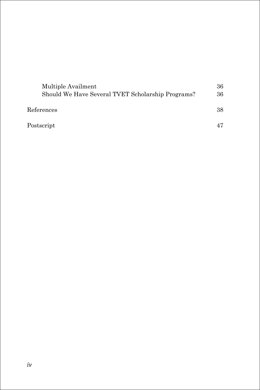| Multiple Availment<br>Should We Have Several TVET Scholarship Programs? | 36<br>36 |
|-------------------------------------------------------------------------|----------|
| References                                                              | 38       |
| Postscript                                                              |          |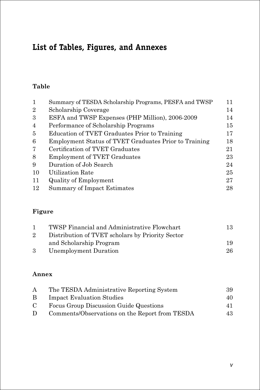## **List of Tables, Figures, and Annexes**

## **Table**

| $\mathbf{1}$   | Summary of TESDA Scholarship Programs, PESFA and TWSP | 11 |
|----------------|-------------------------------------------------------|----|
| $\overline{2}$ | Scholarship Coverage                                  | 14 |
| 3              | ESFA and TWSP Expenses (PHP Million), 2006-2009       | 14 |
| $\overline{4}$ | Performance of Scholarship Programs                   | 15 |
| 5              | Education of TVET Graduates Prior to Training         | 17 |
| 6              | Employment Status of TVET Graduates Prior to Training | 18 |
| 7              | Certification of TVET Graduates                       | 21 |
| 8              | <b>Employment of TVET Graduates</b>                   | 23 |
| 9              | Duration of Job Search                                | 24 |
| 10             | Utilization Rate                                      | 25 |
| 11             | Quality of Employment                                 | 27 |
| 12             | Summary of Impact Estimates                           | 28 |
|                |                                                       |    |

## **Figure**

| $\mathbf{1}$ | TWSP Financial and Administrative Flowchart      | 13 |
|--------------|--------------------------------------------------|----|
| $2^{\circ}$  | Distribution of TVET scholars by Priority Sector |    |
|              | and Scholarship Program                          | 19 |
| 3            | Unemployment Duration                            | 26 |

### **Annex**

| A             | The TESDA Administrative Reporting System      | 39 |
|---------------|------------------------------------------------|----|
| B.            | <b>Impact Evaluation Studies</b>               | 40 |
| $\mathcal{C}$ | Focus Group Discussion Guide Questions         | 41 |
| $\Box$        | Comments/Observations on the Report from TESDA | 43 |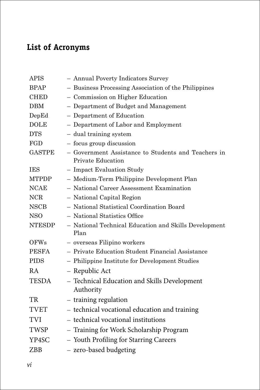## **List of Acronyms**

| <b>APIS</b>   | - Annual Poverty Indicators Survey                                              |
|---------------|---------------------------------------------------------------------------------|
| <b>BPAP</b>   | - Business Processing Association of the Philippines                            |
| <b>CHED</b>   | - Commission on Higher Education                                                |
| DBM           | - Department of Budget and Management                                           |
| DepEd         | - Department of Education                                                       |
| <b>DOLE</b>   | - Department of Labor and Employment                                            |
| <b>DTS</b>    | - dual training system                                                          |
| FGD           | - focus group discussion                                                        |
| <b>GASTPE</b> | - Government Assistance to Students and Teachers in<br><b>Private Education</b> |
| <b>IES</b>    | - Impact Evaluation Study                                                       |
| <b>MTPDP</b>  | - Medium-Term Philippine Development Plan                                       |
| <b>NCAE</b>   | - National Career Assessment Examination                                        |
| <b>NCR</b>    | - National Capital Region                                                       |
| <b>NSCB</b>   | - National Statistical Coordination Board                                       |
| <b>NSO</b>    | - National Statistics Office                                                    |
| <b>NTESDP</b> | - National Technical Education and Skills Development<br>Plan                   |
| <b>OFWs</b>   | - overseas Filipino workers                                                     |
| <b>PESFA</b>  | - Private Education Student Financial Assistance                                |
| <b>PIDS</b>   | - Philippine Institute for Development Studies                                  |
| <b>RA</b>     | - Republic Act                                                                  |
| <b>TESDA</b>  | - Technical Education and Skills Development<br>Authority                       |
| <b>TR</b>     | - training regulation                                                           |
| <b>TVET</b>   | - technical vocational education and training                                   |
| <b>TVI</b>    | - technical vocational institutions                                             |
| <b>TWSP</b>   | - Training for Work Scholarship Program                                         |
| YP4SC         | - Youth Profiling for Starring Careers                                          |
| ZBB           | - zero-based budgeting                                                          |
|               |                                                                                 |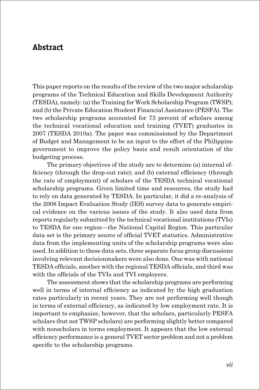## **Abstract**

This paper reports on the results of the review of the two major scholarship programs of the Technical Education and Skills Development Authority (TESDA), namely: (a) the Training for Work Scholarship Program (TWSP); and (b) the Private Education Student Financial Assistance (PESFA). The two scholarship programs accounted for 73 percent of scholars among the technical vocational education and training (TVET) graduates in 2007 (TESDA 2010a). The paper was commissioned by the Department of Budget and Management to be an input to the effort of the Philippine government to improve the policy basis and result orientation of the budgeting process.

The primary objectives of the study are to determine (a) internal efficiency (through the drop-out rate); and (b) external efficiency (through the rate of employment) of scholars of the TESDA technical vocational scholarship programs. Given limited time and resources, the study had to rely on data generated by TESDA. In particular, it did a re-analysis of the 2008 Impact Evaluation Study (IES) survey data to generate empirical evidence on the various issues of the study. It also used data from reports regularly submitted by the technical vocational institutions (TVIs) to TESDA for one region—the National Capital Region. This particular data set is the primary source of official TVET statistics. Administrative data from the implementing units of the scholarship programs were also used. In addition to these data sets, three separate focus group discussions involving relevant decisionmakers were also done. One was with national TESDA officials, another with the regional TESDA officials, and third was with the officials of the TVIs and TVI employers.

The assessment shows that the scholarship programs are performing well in terms of internal efficiency as indicated by the high graduation rates particularly in recent years. They are not performing well though in terms of external efficiency, as indicated by low employment rate. It is important to emphasize, however, that the scholars, particularly PESFA scholars (but not TWSP scholars) are performing slightly better compared with nonscholars in terms employment. It appears that the low external efficiency performance is a general TVET sector problem and not a problem specific to the scholarship programs.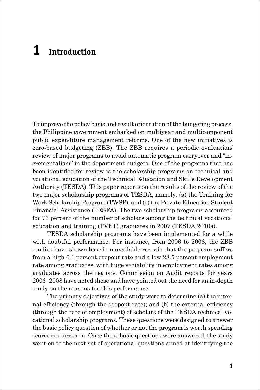## **1 Introduction**

To improve the policy basis and result orientation of the budgeting process, the Philippine government embarked on multiyear and multicomponent public expenditure management reforms. One of the new initiatives is zero-based budgeting (ZBB). The ZBB requires a periodic evaluation/ review of major programs to avoid automatic program carryover and "incrementalism" in the department budgets. One of the programs that has been identified for review is the scholarship programs on technical and vocational education of the Technical Education and Skills Development Authority (TESDA). This paper reports on the results of the review of the two major scholarship programs of TESDA, namely: (a) the Training for Work Scholarship Program (TWSP); and (b) the Private Education Student Financial Assistance (PESFA). The two scholarship programs accounted for 73 percent of the number of scholars among the technical vocational education and training (TVET) graduates in 2007 (TESDA 2010a).

TESDA scholarship programs have been implemented for a while with doubtful performance. For instance, from 2006 to 2008, the ZBB studies have shown based on available records that the program suffers from a high 6.1 percent dropout rate and a low 28.5 percent employment rate among graduates, with huge variability in employment rates among graduates across the regions. Commission on Audit reports for years 2006–2008 have noted these and have pointed out the need for an in-depth study on the reasons for this performance.

The primary objectives of the study were to determine (a) the internal efficiency (through the dropout rate); and (b) the external efficiency (through the rate of employment) of scholars of the TESDA technical vocational scholarship programs. These questions were designed to answer the basic policy question of whether or not the program is worth spending scarce resources on. Once these basic questions were answered, the study went on to the next set of operational questions aimed at identifying the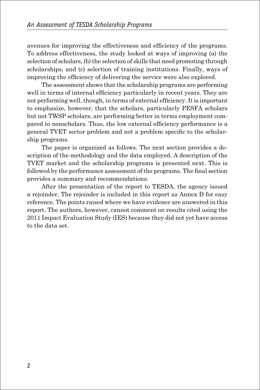avenues for improving the effectiveness and efficiency of the programs. To address effectiveness, the study looked at ways of improving (a) the selection of scholars, (b) the selection of skills that need promoting through scholarships, and (c) selection of training institutions. Finally, ways of improving the efficiency of delivering the service were also explored.

The assessment shows that the scholarship programs are performing well in terms of internal efficiency particularly in recent years. They are not performing well, though, in terms of external efficiency. It is important to emphasize, however, that the scholars, particularly PESFA scholars but not TWSP scholars, are performing better in terms employment compared to nonscholars. Thus, the low external efficiency performance is a general TVET sector problem and not a problem specific to the scholarship programs.

The paper is organized as follows. The next section provides a description of the methodology and the data employed. A description of the TVET market and the scholarship programs is presented next. This is followed by the performance assessment of the programs. The final section provides a summary and recommendations.

After the presentation of the report to TESDA, the agency issued a rejoinder. The rejoinder is included in this report as Annex D for easy reference. The points raised where we have evidence are answered in this report. The authors, however, cannot comment on results cited using the 2011 Impact Evaluation Study (IES) because they did not yet have access to the data set.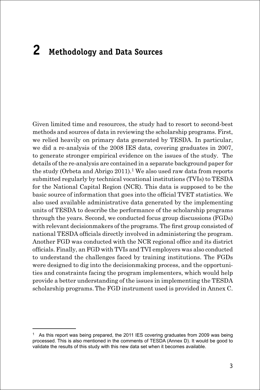# **2 Methodology and Data Sources**

Given limited time and resources, the study had to resort to second-best methods and sources of data in reviewing the scholarship programs. First, we relied heavily on primary data generated by TESDA. In particular, we did a re-analysis of the 2008 IES data, covering graduates in 2007, to generate stronger empirical evidence on the issues of the study. The details of the re-analysis are contained in a separate background paper for the study (Orbeta and Abrigo  $2011$ ).<sup>1</sup> We also used raw data from reports submitted regularly by technical vocational institutions (TVIs) to TESDA for the National Capital Region (NCR). This data is supposed to be the basic source of information that goes into the official TVET statistics. We also used available administrative data generated by the implementing units of TESDA to describe the performance of the scholarship programs through the years. Second, we conducted focus group discussions (FGDs) with relevant decisionmakers of the programs. The first group consisted of national TESDA officials directly involved in administering the program. Another FGD was conducted with the NCR regional office and its district officials. Finally, an FGD with TVIs and TVI employers was also conducted to understand the challenges faced by training institutions. The FGDs were designed to dig into the decisionmaking process, and the opportunities and constraints facing the program implementers, which would help provide a better understanding of the issues in implementing the TESDA scholarship programs.The FGD instrument used is provided in Annex C.

<sup>1</sup> As this report was being prepared, the 2011 IES covering graduates from 2009 was being processed. This is also mentioned in the comments of TESDA (Annex D). It would be good to validate the results of this study with this new data set when it becomes available.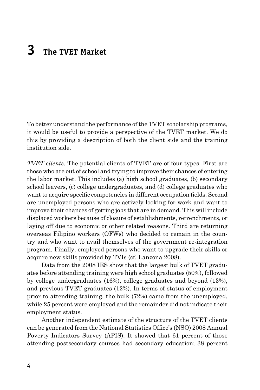# **3 The TVET Market**

To better understand the performance of the TVET scholarship programs, it would be useful to provide a perspective of the TVET market. We do this by providing a description of both the client side and the training institution side.

*TVET clients.* The potential clients of TVET are of four types. First are those who are out of school and trying to improve their chances of entering the labor market. This includes (a) high school graduates, (b) secondary school leavers, (c) college undergraduates, and (d) college graduates who want to acquire specific competencies in different occupation fields. Second are unemployed persons who are actively looking for work and want to improve their chances of getting jobs that are in demand. This will include displaced workers because of closure of establishments, retrenchments, or laying off due to economic or other related reasons. Third are returning overseas Filipino workers (OFWs) who decided to remain in the country and who want to avail themselves of the government re-integration program. Finally, employed persons who want to upgrade their skills or acquire new skills provided by TVIs (cf. Lanzona 2008).

Data from the 2008 IES show that the largest bulk of TVET graduates before attending training were high school graduates (50%), followed by college undergraduates (16%), college graduates and beyond (13%), and previous TVET graduates (12%). In terms of status of employment prior to attending training, the bulk (72%) came from the unemployed, while 25 percent were employed and the remainder did not indicate their employment status.

Another independent estimate of the structure of the TVET clients can be generated from the National Statistics Office's (NSO) 2008 Annual Poverty Indicators Survey (APIS). It showed that 61 percent of those attending postsecondary courses had secondary education; 38 percent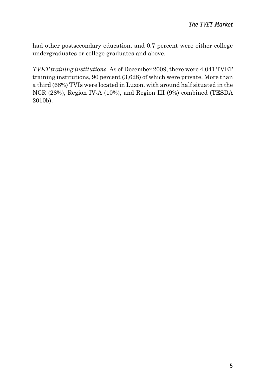had other postsecondary education, and 0.7 percent were either college undergraduates or college graduates and above.

*TVET training institutions.* As of December 2009, there were 4,041 TVET training institutions, 90 percent (3,628) of which were private. More than a third (68%) TVIs were located in Luzon, with around half situated in the NCR (28%), Region IV-A (10%), and Region III (9%) combined (TESDA 2010b).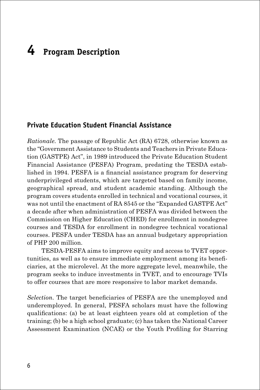# **4 Program Description**

#### **Private Education Student Financial Assistance**

*Rationale.* The passage of Republic Act (RA) 6728, otherwise known as the "Government Assistance to Students and Teachers in Private Education (GASTPE) Act", in 1989 introduced the Private Education Student Financial Assistance (PESFA) Program, predating the TESDA established in 1994. PESFA is a financial assistance program for deserving underprivileged students, which are targeted based on family income, geographical spread, and student academic standing. Although the program covers students enrolled in technical and vocational courses, it was not until the enactment of RA 8545 or the "Expanded GASTPE Act" a decade after when administration of PESFA was divided between the Commission on Higher Education (CHED) for enrollment in nondegree courses and TESDA for enrollment in nondegree technical vocational courses. PESFA under TESDA has an annual budgetary appropriation of PHP 200 million.

TESDA-PESFA aims to improve equity and access to TVET opportunities, as well as to ensure immediate employment among its beneficiaries, at the microlevel. At the more aggregate level, meanwhile, the program seeks to induce investments in TVET, and to encourage TVIs to offer courses that are more responsive to labor market demands.

*Selection.* The target beneficiaries of PESFA are the unemployed and underemployed. In general, PESFA scholars must have the following qualifications: (a) be at least eighteen years old at completion of the training; (b) be a high school graduate; (c) has taken the National Career Assessment Examination (NCAE) or the Youth Profiling for Starring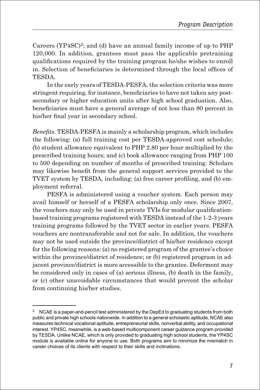Careers  $(YP4SC)^2$ ; and (d) have an annual family income of up to  $PHP$ 120,000. In addition, grantees must pass the applicable pretraining qualifications required by the training program he/she wishes to enroll in. Selection of beneficiaries is determined through the local offices of TESDA.

In the early years of TESDA-PESFA, the selection criteria was more stringent requiring, for instance, beneficiaries to have not taken any postsecondary or higher education units after high school graduation. Also, beneficiaries must have a general average of not less than 80 percent in his/her final year in secondary school.

*Benefits.* TESDA-PESFA is mainly a scholarship program, which includes the following: (a) full training cost per TESDA-approved cost schedule; (b) student allowance equivalent to PHP 2.80 per hour multiplied by the prescribed training hours; and (c) book allowance ranging from PHP 100 to 500 depending on number of months of prescribed training. Scholars may likewise benefit from the general support services provided to the TVET system by TESDA, including: (a) free career profiling, and (b) employment referral.

PESFA is administered using a voucher system. Each person may avail himself or herself of a PESFA scholarship only once. Since 2007, the vouchers may only be used in private TVIs for modular qualificationbased training programs registered with TESDA instead of the 1-2-3 years training programs followed by the TVET sector in earlier years. PESFA vouchers are nontransferable and not for sale. In addition, the vouchers may not be used outside the province/district of his/her residence except for the following reasons: (a) no registered program of the grantee's choice within the province/district of residence; or (b) registered program in adjacent province/district is more accessible to the grantee. Deferment may be considered only in cases of (a) serious illness, (b) death in the family, or (c) other unavoidable circumstances that would prevent the scholar from continuing his/her studies.

<sup>&</sup>lt;sup>2</sup> NCAE is a paper-and-pencil test administered by the DepEd to graduating students from both public and private high schools nationwide. In addition to a general scholastic aptitude, NCAE also measures technical vocational aptitude, entrepreneurial skills, nonverbal ability, and occupational interest. YP4SC, meanwhile, is a web-based multicomponent career guidance program provided by TESDA. Unlike NCAE, which is only provided to graduating high school students, the YP4SC module is available online for anyone to use. Both programs aim to minimize the mismatch in career choices of its clients with respect to their skills and inclinations.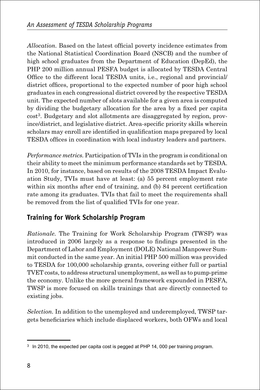*Allocation.* Based on the latest official poverty incidence estimates from the National Statistical Coordination Board (NSCB) and the number of high school graduates from the Department of Education (DepEd), the PHP 200 million annual PESFA budget is allocated by TESDA Central Office to the different local TESDA units, i.e., regional and provincial/ district offices, proportional to the expected number of poor high school graduates in each congressional district covered by the respective TESDA unit. The expected number of slots available for a given area is computed by dividing the budgetary allocation for the area by a fixed per capita cost3. Budgetary and slot allotments are disaggregated by region, province/district, and legislative district. Area-specific priority skills wherein scholars may enroll are identified in qualification maps prepared by local TESDA offices in coordination with local industry leaders and partners.

*Performance metrics.* Participation of TVIs in the program is conditional on their ability to meet the minimum performance standards set by TESDA. In 2010, for instance, based on results of the 2008 TESDA Impact Evaluation Study, TVIs must have at least: (a) 55 percent employment rate within six months after end of training, and (b) 84 percent certification rate among its graduates. TVIs that fail to meet the requirements shall be removed from the list of qualified TVIs for one year.

## **Training for Work Scholarship Program**

*Rationale.* The Training for Work Scholarship Program (TWSP) was introduced in 2006 largely as a response to findings presented in the Department of Labor and Employment (DOLE) National Manpower Summit conducted in the same year. An initial PHP 500 million was provided to TESDA for 100,000 scholarship grants, covering either full or partial TVET costs, to address structural unemployment, as well as to pump-prime the economy. Unlike the more general framework expounded in PESFA, TWSP is more focused on skills trainings that are directly connected to existing jobs.

*Selection.* In addition to the unemployed and underemployed, TWSP targets beneficiaries which include displaced workers, both OFWs and local

<sup>&</sup>lt;sup>3</sup> In 2010, the expected per capita cost is pegged at PHP 14, 000 per training program.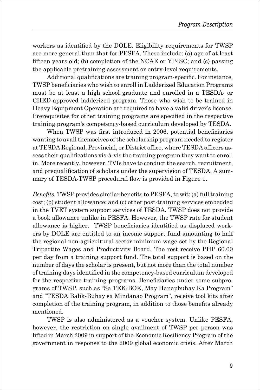workers as identified by the DOLE. Eligibility requirements for TWSP are more general than that for PESFA. These include: (a) age of at least fifteen years old; (b) completion of the NCAE or YP4SC; and (c) passing the applicable pretraining assessment or entry-level requirements.

Additional qualifications are training program-specific. For instance, TWSP beneficiaries who wish to enroll in Ladderized Education Programs must be at least a high school graduate and enrolled in a TESDA- or CHED-approved ladderized program. Those who wish to be trained in Heavy Equipment Operation are required to have a valid driver's license. Prerequisites for other training programs are specified in the respective training program's competency-based curriculum developed by TESDA.

When TWSP was first introduced in 2006, potential beneficiaries wanting to avail themselves of the scholarship program needed to register at TESDA Regional, Provincial, or District office, where TESDA officers assess their qualifications vis-à-vis the training program they want to enroll in. More recently, however, TVIs have to conduct the search, recruitment, and prequalification of scholars under the supervision of TESDA. A summary of TESDA-TWSP procedural flow is provided in Figure 1.

*Benefits.* TWSP provides similar benefits to PESFA, to wit: (a) full training cost; (b) student allowance; and (c) other post-training services embedded in the TVET system support services of TESDA. TWSP does not provide a book allowance unlike in PESFA. However, the TWSP rate for student allowance is higher. TWSP beneficiaries identified as displaced workers by DOLE are entitled to an income support fund amounting to half the regional non-agricultural sector minimum wage set by the Regional Tripartite Wages and Productivity Board. The rest receive PHP 60.00 per day from a training support fund. The total support is based on the number of days the scholar is present, but not more than the total number of training days identified in the competency-based curriculum developed for the respective training programs. Beneficiaries under some subprograms of TWSP, such as "Sa TEK-BOK, May Hanapbuhay Ka Program" and "TESDA Balik-Buhay sa Mindanao Program", receive tool kits after completion of the training program, in addition to those benefits already mentioned.

TWSP is also administered as a voucher system. Unlike PESFA, however, the restriction on single availment of TWSP per person was lifted in March 2009 in support of the Economic Resiliency Program of the government in response to the 2009 global economic crisis. After March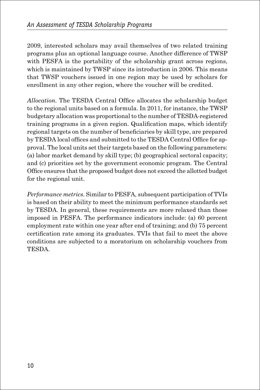2009, interested scholars may avail themselves of two related training programs plus an optional language course. Another difference of TWSP with PESFA is the portability of the scholarship grant across regions, which is maintained by TWSP since its introduction in 2006. This means that TWSP vouchers issued in one region may be used by scholars for enrollment in any other region, where the voucher will be credited.

*Allocation.* The TESDA Central Office allocates the scholarship budget to the regional units based on a formula. In 2011, for instance, the TWSP budgetary allocation was proportional to the number of TESDA-registered training programs in a given region. Qualification maps, which identify regional targets on the number of beneficiaries by skill type, are prepared by TESDA local offices and submitted to the TESDA Central Office for approval. The local units set their targets based on the following parameters: (a) labor market demand by skill type; (b) geographical sectoral capacity; and (c) priorities set by the government economic program. The Central Office ensures that the proposed budget does not exceed the allotted budget for the regional unit.

*Performance metrics.* Similar to PESFA, subsequent participation of TVIs is based on their ability to meet the minimum performance standards set by TESDA. In general, these requirements are more relaxed than those imposed in PESFA. The performance indicators include: (a) 60 percent employment rate within one year after end of training; and (b) 75 percent certification rate among its graduates. TVIs that fail to meet the above conditions are subjected to a moratorium on scholarship vouchers from TESDA.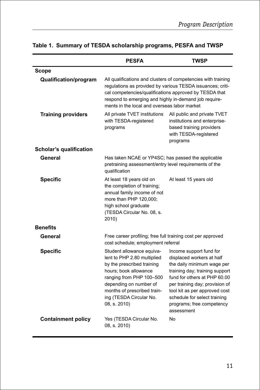|                           | <b>PESFA</b>                                                                                                                                                                                                                                                                                   | TWSP                                                                                                                                                                                                                                                                                               |  |
|---------------------------|------------------------------------------------------------------------------------------------------------------------------------------------------------------------------------------------------------------------------------------------------------------------------------------------|----------------------------------------------------------------------------------------------------------------------------------------------------------------------------------------------------------------------------------------------------------------------------------------------------|--|
| <b>Scope</b>              |                                                                                                                                                                                                                                                                                                |                                                                                                                                                                                                                                                                                                    |  |
| Qualification/program     | All qualifications and clusters of competencies with training<br>regulations as provided by various TESDA issuances; criti-<br>cal competencies/qualifications approved by TESDA that<br>respond to emerging and highly in-demand job require-<br>ments in the local and overseas labor market |                                                                                                                                                                                                                                                                                                    |  |
| <b>Training providers</b> | All private TVET institutions<br>All public and private TVET<br>institutions and enterprise-<br>with TESDA-registered<br>based training providers<br>programs<br>with TESDA-registered<br>programs                                                                                             |                                                                                                                                                                                                                                                                                                    |  |
| Scholar's qualification   |                                                                                                                                                                                                                                                                                                |                                                                                                                                                                                                                                                                                                    |  |
| General                   | Has taken NCAE or YP4SC; has passed the applicable<br>pretraining assessment/entry level requirements of the<br>qualification                                                                                                                                                                  |                                                                                                                                                                                                                                                                                                    |  |
| <b>Specific</b>           | At least 18 years old on<br>the completion of training;<br>annual family income of not<br>more than PHP 120,000;<br>high school graduate<br>(TESDA Circular No. 08, s.<br>2010)                                                                                                                | At least 15 years old                                                                                                                                                                                                                                                                              |  |
| <b>Benefits</b>           |                                                                                                                                                                                                                                                                                                |                                                                                                                                                                                                                                                                                                    |  |
| General                   | Free career profiling; free full training cost per approved<br>cost schedule; employment referral                                                                                                                                                                                              |                                                                                                                                                                                                                                                                                                    |  |
| <b>Specific</b>           | Student allowance equiva-<br>lent to PHP 2.80 multiplied<br>by the prescribed training<br>hours; book allowance<br>ranging from PHP 100-500<br>depending on number of<br>months of prescribed train-<br>ing (TESDA Circular No.<br>08, s. 2010)                                                | Income support fund for<br>displaced workers at half<br>the daily minimum wage per<br>training day; training support<br>fund for others at PHP 60.00<br>per training day; provision of<br>tool kit as per approved cost<br>schedule for select training<br>programs; free competency<br>assessment |  |
| <b>Containment policy</b> | Yes (TESDA Circular No.<br>08, s. 2010)                                                                                                                                                                                                                                                        | No                                                                                                                                                                                                                                                                                                 |  |

## **Table 1. Summary of TESDA scholarship programs, PESFA and TWSP**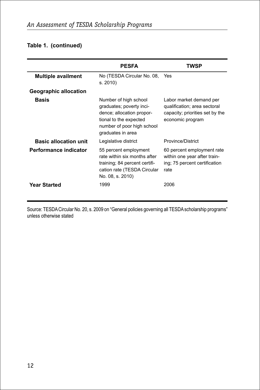### **Table 1. (continued)**

|                              | <b>PESFA</b>                                                                                                                                                | TWSP                                                                                                           |
|------------------------------|-------------------------------------------------------------------------------------------------------------------------------------------------------------|----------------------------------------------------------------------------------------------------------------|
| <b>Multiple availment</b>    | No (TESDA Circular No. 08, Yes<br>s.2010                                                                                                                    |                                                                                                                |
| <b>Geographic allocation</b> |                                                                                                                                                             |                                                                                                                |
| Basis                        | Number of high school<br>graduates; poverty inci-<br>dence; allocation propor-<br>tional to the expected<br>number of poor high school<br>graduates in area | Labor market demand per<br>qualification; area sectoral<br>capacity; priorities set by the<br>economic program |
| <b>Basic allocation unit</b> | Legislative district                                                                                                                                        | Province/District                                                                                              |
| Performance indicator        | 55 percent employment<br>rate within six months after<br>training; 84 percent certifi-<br>cation rate (TESDA Circular<br>No. 08, s. 2010)                   | 60 percent employment rate<br>within one year after train-<br>ing; 75 percent certification<br>rate            |
| Year Started                 | 1999                                                                                                                                                        | 2006                                                                                                           |

Source: TESDA Circular No. 20, s. 2009 on "General policies governing all TESDA scholarship programs" unless otherwise stated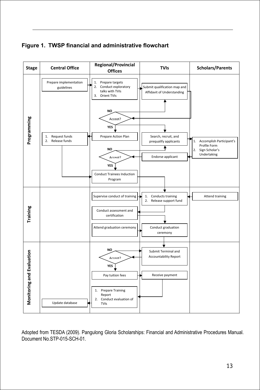**Figure 1. TWSP financial and administrative flowchart**



Adopted from TESDA (2009). Pangulong Gloria Scholarships: Financial and Administrative Procedures Manual. Document No.STP-015-SCH-01.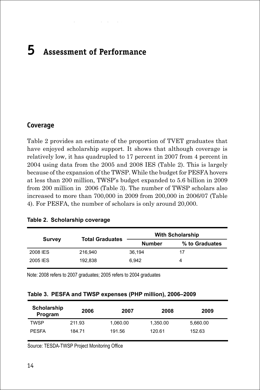# **5 Assessment of Performance**

#### **Coverage**

Table 2 provides an estimate of the proportion of TVET graduates that have enjoyed scholarship support. It shows that although coverage is relatively low, it has quadrupled to 17 percent in 2007 from 4 percent in 2004 using data from the 2005 and 2008 IES (Table 2). This is largely because of the expansion of the TWSP. While the budget for PESFA hovers at less than 200 million, TWSP's budget expanded to 5.6 billion in 2009 from 200 million in 2006 (Table 3). The number of TWSP scholars also increased to more than 700,000 in 2009 from 200,000 in 2006/07 (Table 4). For PESFA, the number of scholars is only around 20,000.

|               | <b>Total Graduates</b> |               | <b>With Scholarship</b> |
|---------------|------------------------|---------------|-------------------------|
| <b>Survey</b> |                        | <b>Number</b> | % to Graduates          |
| 2008 IES      | 216.940                | 36.194        | 17                      |
| 2005 IES      | 192.838                | 6.942         | 4                       |

|  | Table 2. Scholarship coverage |  |
|--|-------------------------------|--|
|--|-------------------------------|--|

Note: 2008 refers to 2007 graduates; 2005 refers to 2004 graduates

| Table 3. PESFA and TWSP expenses (PHP million), 2006–2009 |  |  |  |
|-----------------------------------------------------------|--|--|--|
|                                                           |  |  |  |

| Scholarship<br>Program | 2006   | 2007     | 2008     | 2009     |
|------------------------|--------|----------|----------|----------|
| <b>TWSP</b>            | 211.93 | 1,060.00 | 1.350.00 | 5,660.00 |
| <b>PESFA</b>           | 184.71 | 191.56   | 120.61   | 152.63   |

Source: TESDA-TWSP Project Monitoring Office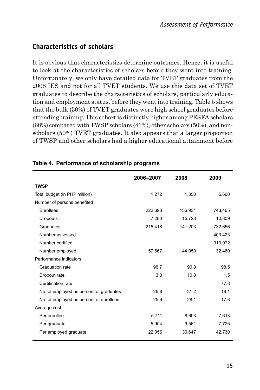## **Characteristics of scholars**

It is obvious that characteristics determine outcomes. Hence, it is useful to look at the characteristics of scholars before they went into training. Unfortunately, we only have detailed data for TVET graduates from the 2008 IES and not for all TVET students. We use this data set of TVET graduates to describe the characteristics of scholars, particularly education and employment status, before they went into training. Table 5 shows that the bulk (50%) of TVET graduates were high school graduates before attending training. This cohort is distinctly higher among PESFA scholars (68%) compared with TWSP scholars (41%), other scholars (50%), and nonscholars (50%) TVET graduates. It also appears that a larger proportion of TWSP and other scholars had a higher educational attainment before

|                                         | 2006-2007 | 2008    | 2009    |
|-----------------------------------------|-----------|---------|---------|
| <b>TWSP</b>                             |           |         |         |
| Total budget (in PHP million)           | 1,272     | 1,350   | 5,660   |
| Number of persons benefited             |           |         |         |
| Enrollees                               | 222,698   | 156.931 | 743,465 |
| Dropouts                                | 7,280     | 15,728  | 10,809  |
| Graduates                               | 215,418   | 141,203 | 732,656 |
| Number assessed                         |           |         | 403,423 |
| Number certified                        |           |         | 313,972 |
| Number employed                         | 57,667    | 44,050  | 132,460 |
| Performance indicators                  |           |         |         |
| Graduation rate                         | 96.7      | 90.0    | 98.5    |
| Dropout rate                            | 3.3       | 10.0    | 1.5     |
| Certification rate                      |           |         | 77.8    |
| No. of employed as percent of graduates | 26.8      | 31.2    | 18.1    |
| No. of employed as percent of enrollees | 25.9      | 28.1    | 17.8    |
| Average cost                            |           |         |         |
| Per enrollee                            | 5,711     | 8,603   | 7,613   |
| Per graduate                            | 5,904     | 9,561   | 7,725   |
| Per employed graduate                   | 22,056    | 30,647  | 42,730  |

#### **Table 4. Performance of scholarship programs**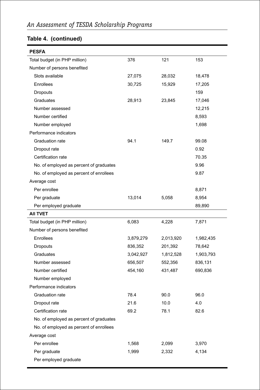### **Table 4. (continued)**

| <b>PESFA</b>                            |           |           |           |
|-----------------------------------------|-----------|-----------|-----------|
| Total budget (in PHP million)           | 376       | 121       | 153       |
| Number of persons benefited             |           |           |           |
| Slots available                         | 27,075    | 28,032    | 18,478    |
| Enrollees                               | 30,725    | 15,929    | 17,205    |
| Dropouts                                |           |           | 159       |
| Graduates                               | 28,913    | 23,845    | 17,046    |
| Number assessed                         |           |           | 12,215    |
| Number certified                        |           |           | 8,593     |
| Number employed                         |           |           | 1,698     |
| Performance indicators                  |           |           |           |
| Graduation rate                         | 94.1      | 149.7     | 99.08     |
| Dropout rate                            |           |           | 0.92      |
| Certification rate                      |           |           | 70.35     |
| No. of employed as percent of graduates |           |           | 9.96      |
| No. of employed as percent of enrollees |           |           | 9.87      |
| Average cost                            |           |           |           |
| Per enrollee                            |           |           | 8,871     |
| Per graduate                            | 13,014    | 5,058     | 8,954     |
| Per employed graduate                   |           |           | 89,890    |
| AII TVET                                |           |           |           |
| Total budget (in PHP million)           | 6,083     | 4,228     | 7,871     |
| Number of persons benefited             |           |           |           |
| Enrollees                               | 3,879,279 | 2,013,920 | 1,982,435 |
| Dropouts                                | 836,352   | 201,392   | 78,642    |
| Graduates                               | 3,042,927 | 1,812,528 | 1,903,793 |
| Number assessed                         | 656,507   | 552,356   | 836,131   |
| Number certified                        | 454,160   | 431,487   | 690,836   |
| Number employed                         |           |           |           |
| Performance indicators                  |           |           |           |
| Graduation rate                         | 78.4      | 90.0      | 96.0      |
| Dropout rate                            | 21.6      | 10.0      | 4.0       |
| Certification rate                      | 69.2      | 78.1      | 82.6      |
| No. of employed as percent of graduates |           |           |           |
| No. of employed as percent of enrollees |           |           |           |
| Average cost                            |           |           |           |
| Per enrollee                            | 1,568     | 2,099     | 3,970     |
| Per graduate                            | 1,999     | 2,332     | 4,134     |
| Per employed graduate                   |           |           |           |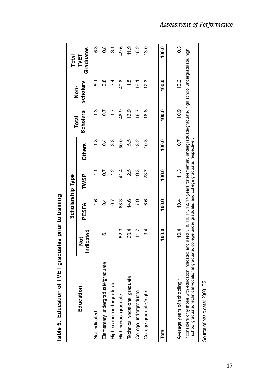|                                                                                                                                                                                                                                                               |                | Scholarship Type  |                |               | <b>Total</b>    |                           | Total             |
|---------------------------------------------------------------------------------------------------------------------------------------------------------------------------------------------------------------------------------------------------------------|----------------|-------------------|----------------|---------------|-----------------|---------------------------|-------------------|
| Education                                                                                                                                                                                                                                                     | Indicated<br>ŏ | PESFA             | TWSP           | <b>Others</b> | <b>Scholars</b> | scholars<br>$\frac{1}{2}$ | Graduates<br>TVET |
| Not indicated                                                                                                                                                                                                                                                 |                | $\frac{6}{1}$     | Ξ              | œ             | $\frac{3}{2}$   | -<br>ہ                    | 53                |
| Elementary undergraduate/graduate                                                                                                                                                                                                                             | ن<br>0         | $\overline{0}$    | $\overline{0}$ | $\sim 1$      | 20              | $\frac{8}{1}$             | $\frac{8}{1}$     |
| High school undergraduate                                                                                                                                                                                                                                     |                | $\overline{0}$ .  | $\frac{2}{1}$  | 88            | 17              | 34                        | $\tilde{s}$       |
| High school graduate                                                                                                                                                                                                                                          | 523            | 68.3              | 41.4           | 50.0          | 48.9            | 49.8                      | 49.6              |
| Technical vocational graduate                                                                                                                                                                                                                                 | 20.4           | 14.6              | 12.5           | 15.5          | 13.9            | 11.5                      | $\frac{0}{11}$    |
| College undergraduate                                                                                                                                                                                                                                         | 117            | <b>P.9</b>        | 19.3           | 18.2          | 16.7            | 16.1                      | 16.2              |
| College graduate/higher                                                                                                                                                                                                                                       | $\overline{9}$ | <u>၀</u>          | 23.7           | 10.3          | 16.8            | 12.3                      | 13.0              |
| Total                                                                                                                                                                                                                                                         | 100.0          | $\frac{0.001}{1}$ | 100.0          | 100.0         | 100.0           | $\frac{0.001}{1}$         | 100.0             |
|                                                                                                                                                                                                                                                               |                |                   |                |               |                 |                           |                   |
| Average years of schooling <sup>1a</sup>                                                                                                                                                                                                                      | 10.4           | 10.4              | 11.3           | 10.7          | 0.9             | 10.2                      | 10.3              |
| ◎considers only those with education indicated and used 3, 8, 10, 11, 12, 14 years for elementary undergraduate/high school undergraduate, high<br>school graduate, technical vocational graduate, college under graduate, and college graduate, respectively |                |                   |                |               |                 |                           |                   |

Table 5. Education of TVET graduates prior to training **Table 5. Education of TVET graduates prior to training**

Source of basic data: 2008 IES Source of basic data: 2008 IES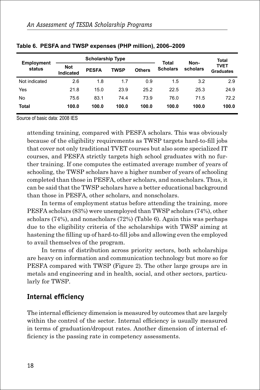|                             |                                | <b>Scholarship Type</b> |             |               | Total           | Non-     | Total                           |
|-----------------------------|--------------------------------|-------------------------|-------------|---------------|-----------------|----------|---------------------------------|
| <b>Employment</b><br>status | <b>Not</b><br><b>Indicated</b> | <b>PESFA</b>            | <b>TWSP</b> | <b>Others</b> | <b>Scholars</b> | scholars | <b>TVET</b><br><b>Graduates</b> |
| Not indicated               | 2.6                            | 1.8                     | 1.7         | 0.9           | 1.5             | 3.2      | 2.9                             |
| Yes                         | 21.8                           | 15.0                    | 23.9        | 25.2          | 22.5            | 25.3     | 24.9                            |
| No                          | 75.6                           | 83.1                    | 74.4        | 73.9          | 76.0            | 71.5     | 72.2                            |
| <b>Total</b>                | 100.0                          | 100.0                   | 100.0       | 100.0         | 100.0           | 100.0    | 100.0                           |

#### **Table 6. PESFA and TWSP expenses (PHP million), 2006–2009**

Source of basic data: 2008 IES

attending training, compared with PESFA scholars. This was obviously because of the eligibility requirements as TWSP targets hard-to-fill jobs that cover not only traditional TVET courses but also some specialized IT courses, and PESFA strictly targets high school graduates with no further training. If one computes the estimated average number of years of schooling, the TWSP scholars have a higher number of years of schooling completed than those in PESFA, other scholars, and nonscholars. Thus, it can be said that the TWSP scholars have a better educational background than those in PESFA, other scholars, and nonscholars.

In terms of employment status before attending the training, more PESFA scholars (83%) were unemployed than TWSP scholars (74%), other scholars (74%), and nonscholars (72%) (Table 6). Again this was perhaps due to the eligibility criteria of the scholarships with TWSP aiming at hastening the filling up of hard-to-fill jobs and allowing even the employed to avail themselves of the program.

In terms of distribution across priority sectors, both scholarships are heavy on information and communication technology but more so for PESFA compared with TWSP (Figure 2). The other large groups are in metals and engineering and in health, social, and other sectors, particularly for TWSP.

#### **Internal efficiency**

The internal efficiency dimension is measured by outcomes that are largely within the control of the sector. Internal efficiency is usually measured in terms of graduation/dropout rates. Another dimension of internal efficiency is the passing rate in competency assessments.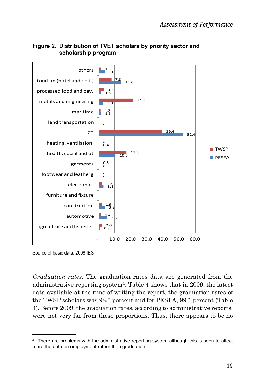

#### **Figure 2. Distribution of TVET scholars by priority sector and scholarship program**

Source of basic data: 2008 IES

*Graduation rates.* The graduation rates data are generated from the administrative reporting system<sup>4</sup>. Table 4 shows that in 2009, the latest data available at the time of writing the report, the graduation rates of the TWSP scholars was 98.5 percent and for PESFA, 99.1 percent (Table 4). Before 2009, the graduation rates, according to administrative reports, were not very far from these proportions. Thus, there appears to be no

<sup>4</sup> There are problems with the administrative reporting system although this is seen to affect more the data on employment rather than graduation.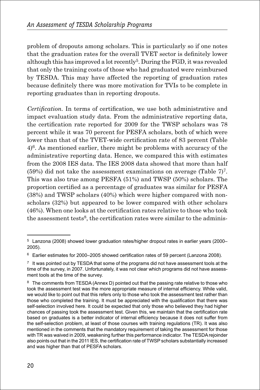problem of dropouts among scholars. This is particularly so if one notes that the graduation rates for the overall TVET sector is definitely lower although this has improved a lot recently5. During the FGD, it was revealed that only the training costs of those who had graduated were reimbursed by TESDA. This may have affected the reporting of graduation rates because definitely there was more motivation for TVIs to be complete in reporting graduates than in reporting dropouts.

*Certification.* In terms of certification, we use both administrative and impact evaluation study data. From the administrative reporting data, the certification rate reported for 2009 for the TWSP scholars was 78 percent while it was 70 percent for PESFA scholars, both of which were lower than that of the TVET-wide certification rate of 83 percent (Table  $4$ <sup>6</sup>. As mentioned earlier, there might be problems with accuracy of the administrative reporting data. Hence, we compared this with estimates from the 2008 IES data. The IES 2008 data showed that more than half (59%) did not take the assessment examinations on average (Table  $7$ )<sup>7</sup>. This was also true among PESFA (51%) and TWSP (50%) scholars. The proportion certified as a percentage of graduates was similar for PESFA (38%) and TWSP scholars (40%) which were higher compared with nonscholars (32%) but appeared to be lower compared with other scholars (46%). When one looks at the certification rates relative to those who took the assessment tests<sup>8</sup>, the certification rates were similar to the adminis-

<sup>5</sup> Lanzona (2008) showed lower graduation rates/higher dropout rates in earlier years (2000– 2005).

 $6$  Earlier estimates for 2000–2005 showed certification rates of 59 percent (Lanzona 2008).

 $7\;$  It was pointed out by TESDA that some of the programs did not have assessment tools at the time of the survey, in 2007. Unfortunately, it was not clear which programs did not have assessment tools at the time of the survey.

<sup>&</sup>lt;sup>8</sup> The comments from TESDA (Annex D) pointed out that the passing rate relative to those who took the assessment test was the more appropriate measure of internal efficiency. While valid, we would like to point out that this refers only to those who took the assessment test rather than those who completed the training. It must be appreciated with the qualification that there was self-selection involved here. It could be expected that only those who believed they had higher chances of passing took the assessment test. Given this, we maintain that the certification rate based on graduates is a better indicator of internal efficiency because it does not suffer from the self-selection problem, at least of those courses with training regulations (TR). It was also mentioned in the comments that the mandatory requirement of taking the assessment for those with TR was waived in 2009, weakening further this performance indicator. The TESDA rejoinder also points out that in the 2011 IES, the certification rate of TWSP scholars substantially increased and was higher than that of PESFA scholars.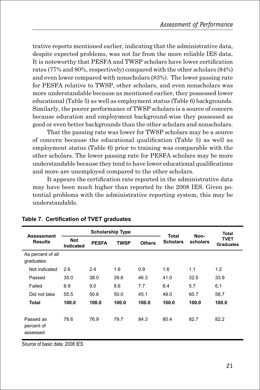trative reports mentioned earlier, indicating that the administrative data, despite expected problems, was not far from the more reliable IES data. It is noteworthy that PESFA and TWSP scholars have lower certification rates (77% and 80%, respectively) compared with the other scholars (84%) and even lower compared with nonscholars (83%). The lower passing rate for PESFA relative to TWSP, other scholars, and even nonscholars was more understandable because as mentioned earlier, they possessed lower educational (Table 5) as well as employment status (Table 6) backgrounds. Similarly, the poorer performance of TWSP scholars is a source of concern because education and employment background-wise they possessed as good or even better backgrounds than the other scholars and nonscholars.

That the passing rate was lower for TWSP scholars may be a source of concern because the educational qualification (Table 5) as well as employment status (Table 6) prior to training was comparable with the other scholars. The lower passing rate for PESFA scholars may be more understandable because they tend to have lower educational qualifications and more are unemployed compared to the other scholars.

It appears the certification rate reported in the administrative data may have been much higher than reported by the 2008 IES. Given potential problems with the administrative reporting system, this may be understandable.

| <b>Assessment</b>                   |                                | <b>Scholarship Type</b> |             |               | Total           | Non-     | <b>Total</b>                    |
|-------------------------------------|--------------------------------|-------------------------|-------------|---------------|-----------------|----------|---------------------------------|
| <b>Results</b>                      | <b>Not</b><br><b>Indicated</b> | <b>PESFA</b>            | <b>TWSP</b> | <b>Others</b> | <b>Scholars</b> | scholars | <b>TVET</b><br><b>Graduates</b> |
| As percent of all<br>graduates:     |                                |                         |             |               |                 |          |                                 |
| Not indicated                       | 2.6                            | 2.4                     | 1.6         | 0.9           | 1.6             | 1.1      | 1.2                             |
| Passed                              | 35.0                           | 38.0                    | 39.8        | 46.3          | 41.0            | 32.5     | 33.9                            |
| Failed                              | 6.9                            | 9.0                     | 8.6         | 7.7           | 8.4             | 5.7      | 6.1                             |
| Did not take                        | 55.5                           | 50.6                    | 50.0        | 45.1          | 49.0            | 60.7     | 58.7                            |
| Total                               | 100.0                          | 100.0                   | 100.0       | 100.0         | 100.0           | 100.0    | 100.0                           |
| Passed as<br>percent of<br>assessed | 78.6                           | 76.9                    | 79.7        | 84.3          | 80.4            | 82.7     | 82.2                            |

#### **Table 7. Certification of TVET graduates**

Source of basic data: 2008 IES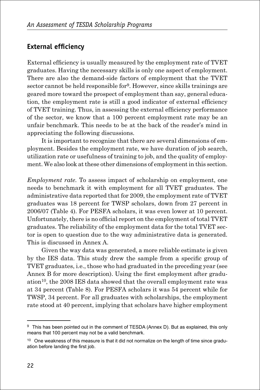## **External efficiency**

External efficiency is usually measured by the employment rate of TVET graduates. Having the necessary skills is only one aspect of employment. There are also the demand-side factors of employment that the TVET sector cannot be held responsible for9. However, since skills trainings are geared more toward the prospect of employment than say, general education, the employment rate is still a good indicator of external efficiency of TVET training. Thus, in assessing the external efficiency performance of the sector, we know that a 100 percent employment rate may be an unfair benchmark. This needs to be at the back of the reader's mind in appreciating the following discussions.

It is important to recognize that there are several dimensions of employment. Besides the employment rate, we have duration of job search, utilization rate or usefulness of training to job, and the quality of employment. We also look at these other dimensions of employment in this section.

*Employment rate.* To assess impact of scholarship on employment, one needs to benchmark it with employment for all TVET graduates. The administrative data reported that for 2009, the employment rate of TVET graduates was 18 percent for TWSP scholars, down from 27 percent in 2006/07 (Table 4). For PESFA scholars, it was even lower at 10 percent. Unfortunately, there is no official report on the employment of total TVET graduates. The reliability of the employment data for the total TVET sector is open to question due to the way administrative data is generated. This is discussed in Annex A.

Given the way data was generated, a more reliable estimate is given by the IES data. This study drew the sample from a specific group of TVET graduates, i.e., those who had graduated in the preceding year (see Annex B for more description). Using the first employment after gradu- $\alpha$  ation<sup>10</sup>, the 2008 IES data showed that the overall employment rate was at 34 percent (Table 8). For PESFA scholars it was 54 percent while for TWSP, 34 percent. For all graduates with scholarships, the employment rate stood at 40 percent, implying that scholars have higher employment

<sup>9</sup> This has been pointed out in the comment of TESDA (Annex D). But as explained, this only means that 100 percent may not be a valid benchmark.

 $10$  One weakness of this measure is that it did not normalize on the length of time since graduation before landing the first job.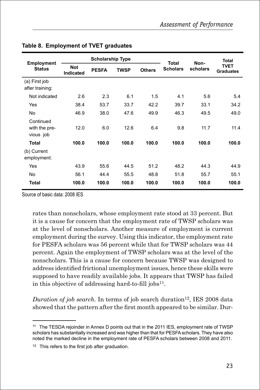| <b>Employment</b>                       |                                | <b>Scholarship Type</b> |             |               | <b>Total</b>    | Non-     | <b>Total</b>                    |
|-----------------------------------------|--------------------------------|-------------------------|-------------|---------------|-----------------|----------|---------------------------------|
| <b>Status</b>                           | <b>Not</b><br><b>Indicated</b> | <b>PESFA</b>            | <b>TWSP</b> | <b>Others</b> | <b>Scholars</b> | scholars | <b>TVET</b><br><b>Graduates</b> |
| (a) First job<br>after training:        |                                |                         |             |               |                 |          |                                 |
| Not indicated                           | 2.6                            | 2.3                     | 6.1         | 1.5           | 4.1             | 5.6      | 5.4                             |
| Yes                                     | 38.4                           | 53.7                    | 33.7        | 42.2          | 39.7            | 33.1     | 34.2                            |
| No                                      | 46.9                           | 38.0                    | 47.6        | 49.9          | 46.3            | 49.5     | 49.0                            |
| Continued<br>with the pre-<br>vious job | 12.0                           | 6.0                     | 12.6        | 6.4           | 9.8             | 11.7     | 11.4                            |
| Total                                   | 100.0                          | 100.0                   | 100.0       | 100.0         | 100.0           | 100.0    | 100.0                           |
| (b) Current<br>employment:              |                                |                         |             |               |                 |          |                                 |
| Yes                                     | 43.9                           | 55.6                    | 44.5        | 51.2          | 48.2            | 44.3     | 44.9                            |
| No                                      | 56.1                           | 44.4                    | 55.5        | 48.8          | 51.8            | 55.7     | 55.1                            |
| <b>Total</b>                            | 100.0                          | 100.0                   | 100.0       | 100.0         | 100.0           | 100.0    | 100.0                           |

#### **Table 8. Employment of TVET graduates**

Source of basic data: 2008 IES

rates than nonscholars, whose employment rate stood at 33 percent. But it is a cause for concern that the employment rate of TWSP scholars was at the level of nonscholars. Another measure of employment is current employment during the survey. Using this indicator, the employment rate for PESFA scholars was 56 percent while that for TWSP scholars was 44 percent. Again the employment of TWSP scholars was at the level of the nonscholars. This is a cause for concern because TWSP was designed to address identified frictional unemployment issues, hence these skills were supposed to have readily available jobs. It appears that TWSP has failed in this objective of addressing hard-to-fill jobs $11$ .

*Duration of job search.* In terms of job search duration<sup>12</sup>, IES 2008 data showed that the pattern after the first month appeared to be similar. Dur-

<sup>&</sup>lt;sup>11</sup> The TESDA rejoinder in Annex D points out that in the 2011 IES, employment rate of TWSP scholars has substantially increased and was higher than that for PESFA scholars. They have also noted the marked decline in the employment rate of PESFA scholars between 2008 and 2011.

<sup>&</sup>lt;sup>12</sup> This refers to the first job after graduation.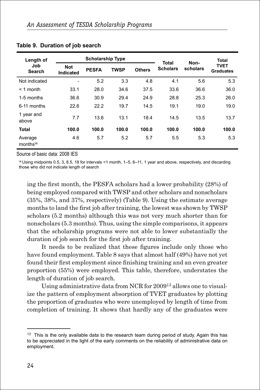| Length of                       |                              |              | <b>Scholarship Type</b> |               | <b>Total</b>    | Non-     | Total                           |
|---------------------------------|------------------------------|--------------|-------------------------|---------------|-----------------|----------|---------------------------------|
| Job<br><b>Search</b>            | <b>Not</b><br>Indicated      | <b>PESFA</b> | <b>TWSP</b>             | <b>Others</b> | <b>Scholars</b> | scholars | <b>TVET</b><br><b>Graduates</b> |
| Not indicated                   | $\qquad \qquad \blacksquare$ | 5.2          | 3.3                     | 4.8           | 4.1             | 5.6      | 5.3                             |
| $<$ 1 month                     | 33.1                         | 28.0         | 34.6                    | 37.5          | 33.6            | 36.6     | 36.0                            |
| 1-5 months                      | 36.6                         | 30.9         | 29.4                    | 24.9          | 28.8            | 25.3     | 26.0                            |
| 6-11 months                     | 22.6                         | 22.2         | 19.7                    | 14.5          | 19.1            | 19.0     | 19.0                            |
| 1 year and<br>above             | 7.7                          | 13.6         | 13.1                    | 18.4          | 14.5            | 13.5     | 13.7                            |
| <b>Total</b>                    | 100.0                        | 100.0        | 100.0                   | 100.0         | 100.0           | 100.0    | 100.0                           |
| Average<br>months <sup>\a</sup> | 4.6                          | 5.7          | 5.2                     | 5.7           | 5.5             | 5.3      | 5.3                             |

#### **Table 9. Duration of job search**

Source of basic data: 2008 IES

\a Using midpoints 0.5, 3, 8.5, 18 for intervals <1 month, 1–5, 6–11, 1 year and above, respectively, and discarding those who did not indicate length of search

ing the first month, the PESFA scholars had a lower probability (28%) of being employed compared with TWSP and other scholars and nonscholars (35%, 38%, and 37%, respectively) (Table 9). Using the estimate average months to land the first job after training, the lowest was shown by TWSP scholars (5.2 months) although this was not very much shorter than for nonscholars (5.3 months). Thus, using the simple comparisons, it appears that the scholarship programs were not able to lower substantially the duration of job search for the first job after training.

It needs to be realized that these figures include only those who have found employment. Table 8 says that almost half (49%) have not yet found their first employment since finishing training and an even greater proportion (55%) were employed. This table, therefore, understates the length of duration of job search.

Using administrative data from NCR for 200913 allows one to visualize the pattern of employment absorption of TVET graduates by plotting the proportion of graduates who were unemployed by length of time from completion of training. It shows that hardly any of the graduates were

<sup>&</sup>lt;sup>13</sup> This is the only available data to the research team during period of study. Again this has to be appreciated in the light of the early comments on the reliability of administrative data on employment.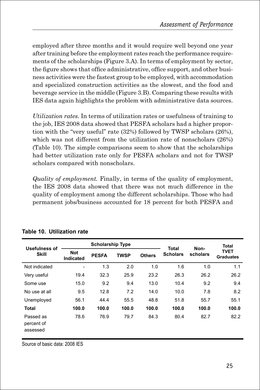employed after three months and it would require well beyond one year after training before the employment rates reach the performance requirements of the scholarships (Figure 3.A). In terms of employment by sector, the figure shows that office administrative, office support, and other business activities were the fastest group to be employed, with accommodation and specialized construction activities as the slowest, and the food and beverage service in the middle (Figure 3.B). Comparing these results with IES data again highlights the problem with administrative data sources.

*Utilization rates.* In terms of utilization rates or usefulness of training to the job, IES 2008 data showed that PESFA scholars had a higher proportion with the "very useful" rate (32%) followed by TWSP scholars (26%), which was not different from the utilization rate of nonscholars (26%) (Table 10). The simple comparisons seem to show that the scholarships had better utilization rate only for PESFA scholars and not for TWSP scholars compared with nonscholars.

*Quality of employment.* Finally, in terms of the quality of employment, the IES 2008 data showed that there was not much difference in the quality of employment among the different scholarships. Those who had permanent jobs/business accounted for 18 percent for both PESFA and

| <b>Usefulness of</b>                |                         | <b>Scholarship Type</b> |             |               | <b>Total</b>    | Non-     | <b>Total</b>                    |
|-------------------------------------|-------------------------|-------------------------|-------------|---------------|-----------------|----------|---------------------------------|
| <b>Skill</b>                        | <b>Not</b><br>Indicated | <b>PESFA</b>            | <b>TWSP</b> | <b>Others</b> | <b>Scholars</b> | scholars | <b>TVET</b><br><b>Graduates</b> |
| Not indicated                       | -                       | 1.3                     | 2.0         | 1.0           | 1.6             | 1.0      | 1.1                             |
| Very useful                         | 19.4                    | 32.3                    | 25.9        | 23.2          | 26.3            | 26.2     | 26.2                            |
| Some use                            | 15.0                    | 9.2                     | 9.4         | 13.0          | 10.4            | 9.2      | 9.4                             |
| No use at all                       | 9.5                     | 12.8                    | 7.2         | 14.0          | 10.0            | 7.8      | 8.2                             |
| Unemployed                          | 56.1                    | 44.4                    | 55.5        | 48.8          | 51.8            | 55.7     | 55.1                            |
| <b>Total</b>                        | 100.0                   | 100.0                   | 100.0       | 100.0         | 100.0           | 100.0    | 100.0                           |
| Passed as<br>percent of<br>assessed | 78.6                    | 76.9                    | 79.7        | 84.3          | 80.4            | 82.7     | 82.2                            |

#### **Table 10. Utilization rate**

Source of basic data: 2008 IES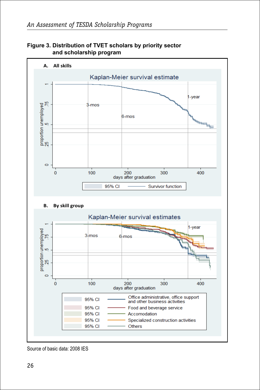

**Figure 3. Distribution of TVET scholars by priority sector and scholarship program**

Source of basic data: 2008 IES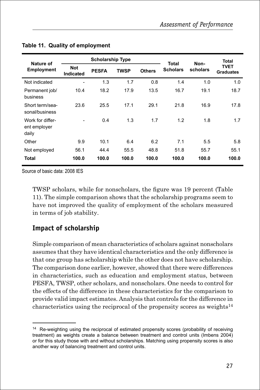| Nature of                                 |                              | <b>Scholarship Type</b> |             |               | <b>Total</b>    | Non-     | <b>Total</b>                    |
|-------------------------------------------|------------------------------|-------------------------|-------------|---------------|-----------------|----------|---------------------------------|
| <b>Employment</b>                         | <b>Not</b><br>Indicated      | <b>PESFA</b>            | <b>TWSP</b> | <b>Others</b> | <b>Scholars</b> | scholars | <b>TVET</b><br><b>Graduates</b> |
| Not indicated                             | $\qquad \qquad \blacksquare$ | 1.3                     | 1.7         | 0.8           | 1.4             | 1.0      | 1.0                             |
| Permanent job/<br>business                | 10.4                         | 18.2                    | 17.9        | 13.5          | 16.7            | 19.1     | 18.7                            |
| Short term/sea-<br>sonal/business         | 23.6                         | 25.5                    | 17.1        | 29.1          | 21.8            | 16.9     | 17.8                            |
| Work for differ-<br>ent employer<br>daily |                              | 0.4                     | 1.3         | 1.7           | 1.2             | 1.8      | 1.7                             |
| Other                                     | 9.9                          | 10.1                    | 6.4         | 6.2           | 7.1             | 5.5      | 5.8                             |
| Not employed                              | 56.1                         | 44.4                    | 55.5        | 48.8          | 51.8            | 55.7     | 55.1                            |
| <b>Total</b>                              | 100.0                        | 100.0                   | 100.0       | 100.0         | 100.0           | 100.0    | 100.0                           |

#### **Table 11. Quality of employment**

Source of basic data: 2008 IES

TWSP scholars, while for nonscholars, the figure was 19 percent (Table 11). The simple comparison shows that the scholarship programs seem to have not improved the quality of employment of the scholars measured in terms of job stability.

## **Impact of scholarship**

Simple comparison of mean characteristics of scholars against nonscholars assumes that they have identical characteristics and the only difference is that one group has scholarship while the other does not have scholarship. The comparison done earlier, however, showed that there were differences in characteristics, such as education and employment status, between PESFA, TWSP, other scholars, and nonscholars. One needs to control for the effects of the difference in these characteristics for the comparison to provide valid impact estimates. Analysis that controls for the difference in characteristics using the reciprocal of the propensity scores as weights $14$ 

<sup>&</sup>lt;sup>14</sup> Re-weighting using the reciprocal of estimated propensity scores (probability of receiving treatment) as weights create a balance between treatment and control units (Imbens 2004) or for this study those with and without scholarships. Matching using propensity scores is also another way of balancing treatment and control units.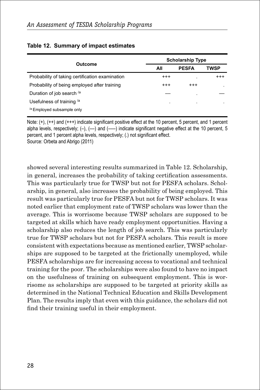| Outcome                                         | <b>Scholarship Type</b> |              |          |  |
|-------------------------------------------------|-------------------------|--------------|----------|--|
|                                                 | All                     | <b>PESFA</b> | TWSP     |  |
| Probability of taking certification examination | $^{+++}$                |              | $^{+++}$ |  |
| Probability of being employed after training    | $^{+++}$                | $^{+++}$     |          |  |
| Duration of job search /a                       |                         | ٠            |          |  |
| Usefulness of training <sup>/a</sup>            | $\cdot$                 | $\bullet$    |          |  |
| <sup>/a</sup> Employed subsample only           |                         |              |          |  |

#### **Table 12. Summary of impact estimates**

Note: (+), (++) and (+++) indicate significant positive effect at the 10 percent, 5 percent, and 1 percent alpha levels, respectively;  $(-)$ ,  $(-)$  and  $(-)$  indicate significant negative effect at the 10 percent, 5 percent, and 1 percent alpha levels, respectively; (.) not significant effect.

Source: Orbeta and Abrigo (2011)

showed several interesting results summarized in Table 12. Scholarship, in general, increases the probability of taking certification assessments. This was particularly true for TWSP but not for PESFA scholars. Scholarship, in general, also increases the probability of being employed. This result was particularly true for PESFA but not for TWSP scholars. It was noted earlier that employment rate of TWSP scholars was lower than the average. This is worrisome because TWSP scholars are supposed to be targeted at skills which have ready employment opportunities. Having a scholarship also reduces the length of job search. This was particularly true for TWSP scholars but not for PESFA scholars. This result is more consistent with expectations because as mentioned earlier, TWSP scholarships are supposed to be targeted at the frictionally unemployed, while PESFA scholarships are for increasing access to vocational and technical training for the poor. The scholarships were also found to have no impact on the usefulness of training on subsequent employment. This is worrisome as scholarships are supposed to be targeted at priority skills as determined in the National Technical Education and Skills Development Plan. The results imply that even with this guidance, the scholars did not find their training useful in their employment.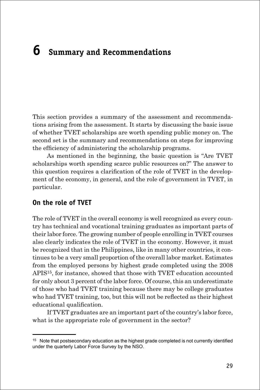# **6 Summary and Recommendations**

This section provides a summary of the assessment and recommendations arising from the assessment. It starts by discussing the basic issue of whether TVET scholarships are worth spending public money on. The second set is the summary and recommendations on steps for improving the efficiency of administering the scholarship programs.

As mentioned in the beginning, the basic question is "Are TVET scholarships worth spending scarce public resources on?" The answer to this question requires a clarification of the role of TVET in the development of the economy, in general, and the role of government in TVET, in particular.

#### **On the role of TVET**

The role of TVET in the overall economy is well recognized as every country has technical and vocational training graduates as important parts of their labor force. The growing number of people enrolling in TVET courses also clearly indicates the role of TVET in the economy. However, it must be recognized that in the Philippines, like in many other countries, it continues to be a very small proportion of the overall labor market. Estimates from the employed persons by highest grade completed using the 2008 APIS15, for instance, showed that those with TVET education accounted for only about 3 percent of the labor force. Of course, this an underestimate of those who had TVET training because there may be college graduates who had TVET training, too, but this will not be reflected as their highest educational qualification.

If TVET graduates are an important part of the country's labor force, what is the appropriate role of government in the sector?

 $15$  Note that postsecondary education as the highest grade completed is not currently identified under the quarterly Labor Force Survey by the NSO.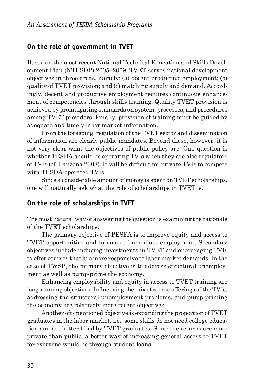## **On the role of government in TVET**

Based on the most recent National Technical Education and Skills Development Plan (NTESDP) 2005–2009, TVET serves national development objectives in three areas, namely: (a) decent productive employment; (b) quality of TVET provision; and (c) matching supply and demand. Accordingly, decent and productive employment requires continuous enhancement of competencies through skills training. Quality TVET provision is achieved by promulgating standards on system, processes, and procedures among TVET providers. Finally, provision of training must be guided by adequate and timely labor market information.

From the foregoing, regulation of the TVET sector and dissemination of information are clearly public mandates. Beyond these, however, it is not very clear what the objectives of public policy are. One question is whether TESDA should be operating TVIs when they are also regulators of TVIs (cf. Lanzona 2008). It will be difficult for private TVIs to compete with TESDA-operated TVIs.

Since a considerable amount of money is spent on TVET scholarships, one will naturally ask what the role of scholarships in TVET is.

## **On the role of scholarships in TVET**

The most natural way of answering the question is examining the rationale of the TVET scholarships.

The primary objective of PESFA is to improve equity and access to TVET opportunities and to ensure immediate employment. Secondary objectives include inducing investments in TVET and encouraging TVIs to offer courses that are more responsive to labor market demands. In the case of TWSP, the primary objective is to address structural unemployment as well as pump-prime the economy.

Enhancing employability and equity in access to TVET training are long-running objectives. Influencing the mix of course offerings of the TVIs, addressing the structural unemployment problems, and pump-priming the economy are relatively more recent objectives.

Another oft-mentioned objective is expanding the proportion of TVET graduates in the labor market, i.e., some skills do not need college education and are better filled by TVET graduates. Since the returns are more private than public, a better way of increasing general access to TVET for everyone would be through student loans.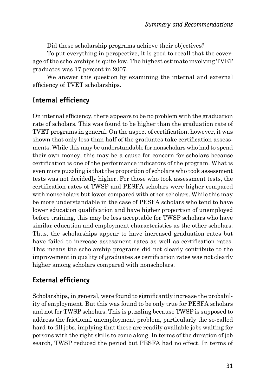Did these scholarship programs achieve their objectives?

To put everything in perspective, it is good to recall that the coverage of the scholarships is quite low. The highest estimate involving TVET graduates was 17 percent in 2007.

We answer this question by examining the internal and external efficiency of TVET scholarships.

## **Internal efficiency**

On internal efficiency, there appears to be no problem with the graduation rate of scholars. This was found to be higher than the graduation rate of TVET programs in general. On the aspect of certification, however, it was shown that only less than half of the graduates take certification assessments. While this may be understandable for nonscholars who had to spend their own money, this may be a cause for concern for scholars because certification is one of the performance indicators of the program. What is even more puzzling is that the proportion of scholars who took assessment tests was not decidedly higher. For those who took assessment tests, the certification rates of TWSP and PESFA scholars were higher compared with nonscholars but lower compared with other scholars. While this may be more understandable in the case of PESFA scholars who tend to have lower education qualification and have higher proportion of unemployed before training, this may be less acceptable for TWSP scholars who have similar education and employment characteristics as the other scholars. Thus, the scholarships appear to have increased graduation rates but have failed to increase assessment rates as well as certification rates. This means the scholarship programs did not clearly contribute to the improvement in quality of graduates as certification rates was not clearly higher among scholars compared with nonscholars.

## **External efficiency**

Scholarships, in general, were found to significantly increase the probability of employment. But this was found to be only true for PESFA scholars and not for TWSP scholars. This is puzzling because TWSP is supposed to address the frictional unemployment problem, particularly the so-called hard-to-fill jobs, implying that these are readily available jobs waiting for persons with the right skills to come along. In terms of the duration of job search, TWSP reduced the period but PESFA had no effect. In terms of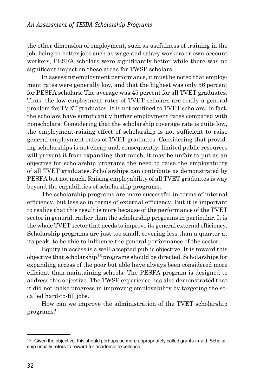the other dimension of employment, such as usefulness of training in the job, being in better jobs such as wage and salary workers or own-account workers, PESFA scholars were significantly better while there was no significant impact on these areas for TWSP scholars.

In assessing employment performance, it must be noted that employment rates were generally low, and that the highest was only 56 percent for PESFA scholars. The average was 45 percent for all TVET graduates. Thus, the low employment rates of TVET scholars are really a general problem for TVET graduates. It is not confined to TVET scholars. In fact, the scholars have significantly higher employment rates compared with nonscholars. Considering that the scholarship coverage rate is quite low, the employment-raising effect of scholarship is not sufficient to raise general employment rates of TVET graduates. Considering that providing scholarships is not cheap and, consequently, limited public resources will prevent it from expanding that much, it may be unfair to put as an objective for scholarship programs the need to raise the employability of all TVET graduates. Scholarships can contribute as demonstrated by PESFA but not much. Raising employability of all TVET graduates is way beyond the capabilities of scholarship programs.

The scholarship programs are more successful in terms of internal efficiency, but less so in terms of external efficiency. But it is important to realize that this result is more because of the performance of the TVET sector in general, rather than the scholarship programs in particular. It is the whole TVET sector that needs to improve its general external efficiency. Scholarship programs are just too small, covering less than a quarter at its peak, to be able to influence the general performance of the sector.

Equity in access is a well-accepted public objective. It is toward this objective that scholarship16 programs should be directed. Scholarships for expanding access of the poor but able have always been considered more efficient than maintaining schools. The PESFA program is designed to address this objective. The TWSP experience has also demonstrated that it did not make progress in improving employability by targeting the socalled hard-to-fill jobs.

How can we improve the administration of the TVET scholarship programs?

<sup>&</sup>lt;sup>16</sup> Given the objective, this should perhaps be more appropriately called grants-in-aid. Scholarship usually refers to reward for academic excellence.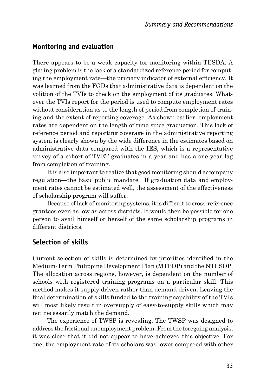## **Monitoring and evaluation**

There appears to be a weak capacity for monitoring within TESDA. A glaring problem is the lack of a standardized reference period for computing the employment rate—the primary indicator of external efficiency. It was learned from the FGDs that administrative data is dependent on the volition of the TVIs to check on the employment of its graduates. Whatever the TVIs report for the period is used to compute employment rates without consideration as to the length of period from completion of training and the extent of reporting coverage. As shown earlier, employment rates are dependent on the length of time since graduation. This lack of reference period and reporting coverage in the administrative reporting system is clearly shown by the wide difference in the estimates based on administrative data compared with the IES, which is a representative survey of a cohort of TVET graduates in a year and has a one year lag from completion of training.

It is also important to realize that good monitoring should accompany regulation—the basic public mandate. If graduation data and employment rates cannot be estimated well, the assessment of the effectiveness of scholarship program will suffer.

Because of lack of monitoring systems, it is difficult to cross-reference grantees even as low as across districts. It would then be possible for one person to avail himself or herself of the same scholarship programs in different districts.

## **Selection of skills**

Current selection of skills is determined by priorities identified in the Medium-Term Philippine Development Plan (MTPDP) and the NTESDP. The allocation across regions, however, is dependent on the number of schools with registered training programs on a particular skill. This method makes it supply driven rather than demand driven. Leaving the final determination of skills funded to the training capability of the TVIs will most likely result in oversupply of easy-to-supply skills which may not necessarily match the demand.

The experience of TWSP is revealing. The TWSP was designed to address the frictional unemployment problem. From the foregoing analysis, it was clear that it did not appear to have achieved this objective. For one, the employment rate of its scholars was lower compared with other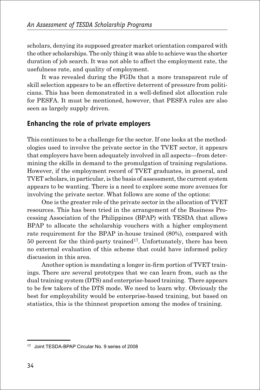scholars, denying its supposed greater market orientation compared with the other scholarships. The only thing it was able to achieve was the shorter duration of job search. It was not able to affect the employment rate, the usefulness rate, and quality of employment.

It was revealed during the FGDs that a more transparent rule of skill selection appears to be an effective deterrent of pressure from politicians. This has been demonstrated in a well-defined slot allocation rule for PESFA. It must be mentioned, however, that PESFA rules are also seen as largely supply driven.

## **Enhancing the role of private employers**

This continues to be a challenge for the sector. If one looks at the methodologies used to involve the private sector in the TVET sector, it appears that employers have been adequately involved in all aspects—from determining the skills in demand to the promulgation of training regulations. However, if the employment record of TVET graduates, in general, and TVET scholars, in particular, is the basis of assessment, the current system appears to be wanting. There is a need to explore some more avenues for involving the private sector. What follows are some of the options:

One is the greater role of the private sector in the allocation of TVET resources. This has been tried in the arrangement of the Business Processing Association of the Philippines (BPAP) with TESDA that allows BPAP to allocate the scholarship vouchers with a higher employment rate requirement for the BPAP in-house trained (80%), compared with  $50$  percent for the third-party trained<sup>17</sup>. Unfortunately, there has been no external evaluation of this scheme that could have informed policy discussion in this area.

Another option is mandating a longer in-firm portion of TVET trainings. There are several prototypes that we can learn from, such as the dual training system (DTS) and enterprise-based training. There appears to be few takers of the DTS mode. We need to learn why. Obviously the best for employability would be enterprise-based training, but based on statistics, this is the thinnest proportion among the modes of training.

<sup>17</sup> Joint TESDA-BPAP Circular No. 9 series of 2008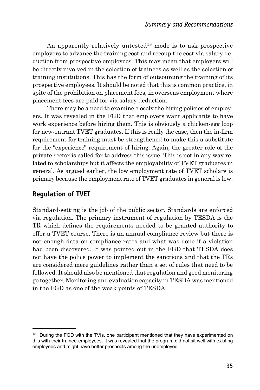An apparently relatively untested<sup>18</sup> mode is to ask prospective employers to advance the training cost and recoup the cost via salary deduction from prospective employees. This may mean that employers will be directly involved in the selection of trainees as well as the selection of training institutions. This has the form of outsourcing the training of its prospective employees. It should be noted that this is common practice, in spite of the prohibition on placement fees, in overseas employment where placement fees are paid for via salary deduction.

There may be a need to examine closely the hiring policies of employers. It was revealed in the FGD that employers want applicants to have work experience before hiring them. This is obviously a chicken-egg loop for new-entrant TVET graduates. If this is really the case, then the in-firm requirement for training must be strengthened to make this a substitute for the "experience" requirement of hiring. Again, the greater role of the private sector is called for to address this issue. This is not in any way related to scholarships but it affects the employability of TVET graduates in general. As argued earlier, the low employment rate of TVET scholars is primary because the employment rate of TVET graduates in general is low.

## **Regulation of TVET**

Standard-setting is the job of the public sector. Standards are enforced via regulation. The primary instrument of regulation by TESDA is the TR which defines the requirements needed to be granted authority to offer a TVET course. There is an annual compliance review but there is not enough data on compliance rates and what was done if a violation had been discovered. It was pointed out in the FGD that TESDA does not have the police power to implement the sanctions and that the TRs are considered mere guidelines rather than a set of rules that need to be followed. It should also be mentioned that regulation and good monitoring go together. Monitoring and evaluation capacity in TESDA was mentioned in the FGD as one of the weak points of TESDA.

<sup>&</sup>lt;sup>18</sup> During the FGD with the TVIs, one participant mentioned that they have experimented on this with their trainee-employees. It was revealed that the program did not sit well with existing employees and might have better prospects among the unemployed.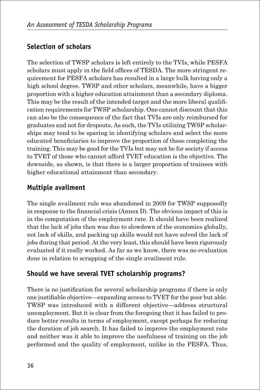## **Selection of scholars**

The selection of TWSP scholars is left entirely to the TVIs, while PESFA scholars must apply in the field offices of TESDA. The more stringent requirement for PESFA scholars has resulted in a large bulk having only a high school degree. TWSP and other scholars, meanwhile, have a bigger proportion with a higher education attainment than a secondary diploma. This may be the result of the intended target and the more liberal qualification requirements for TWSP scholarship. One cannot discount that this can also be the consequence of the fact that TVIs are only reimbursed for graduates and not for dropouts. As such, the TVIs utilizing TWSP scholarships may tend to be sparing in identifying scholars and select the more educated beneficiaries to improve the proportion of those completing the training. This may be good for the TVIs but may not be for society if access to TVET of those who cannot afford TVET education is the objective. The downside, as shown, is that there is a larger proportion of trainees with higher educational attainment than secondary.

## **Multiple availment**

The single availment rule was abandoned in 2009 for TWSP supposedly in response to the financial crisis (Annex D). The obvious impact of this is in the computation of the employment rate. It should have been realized that the lack of jobs then was due to slowdown of the economies globally, not lack of skills, and packing up skills would not have solved the lack of jobs during that period. At the very least, this should have been rigorously evaluated if it really worked. As far as we know, there was no evaluation done in relation to scrapping of the single availment rule.

## **Should we have several TVET scholarship programs?**

There is no justification for several scholarship programs if there is only one justifiable objective—expanding access to TVET for the poor but able. TWSP was introduced with a different objective—address structural unemployment. But it is clear from the foregoing that it has failed to produce better results in terms of employment, except perhaps for reducing the duration of job search. It has failed to improve the employment rate and neither was it able to improve the usefulness of training on the job performed and the quality of employment, unlike in the PESFA. Thus,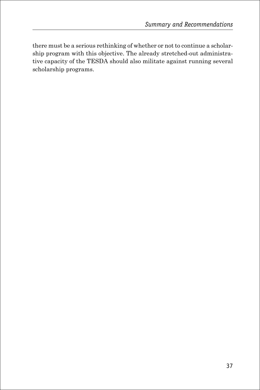there must be a serious rethinking of whether or not to continue a scholarship program with this objective. The already stretched-out administrative capacity of the TESDA should also militate against running several scholarship programs.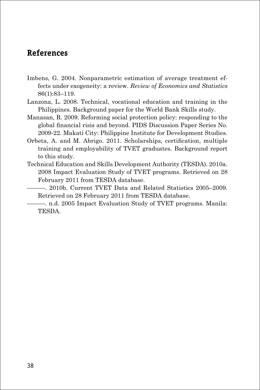## **References**

- Imbens, G. 2004. Nonparametric estimation of average treatment effects under exogeneity: a review. *Review of Economics and Statistics*  86(1):83–119.
- Lanzona, L. 2008. Technical, vocational education and training in the Philippines. Background paper for the World Bank Skills study.
- Manasan, R. 2009. Reforming social protection policy: responding to the global financial risis and beyond. PIDS Discussion Paper Series No. 2009-22. Makati City: Philippine Institute for Development Studies.
- Orbeta, A. and M. Abrigo. 2011. Scholarships, certification, multiple training and employability of TVET graduates. Background report to this study.
- Technical Education and Skills Development Authority (TESDA). 2010a. 2008 Impact Evaluation Study of TVET programs. Retrieved on 28 February 2011 from TESDA database.
- ———. 2010b. Current TVET Data and Related Statistics 2005–2009. Retrieved on 28 February 2011 from TESDA database.
	- ———. n.d. 2005 Impact Evaluation Study of TVET programs. Manila: TESDA.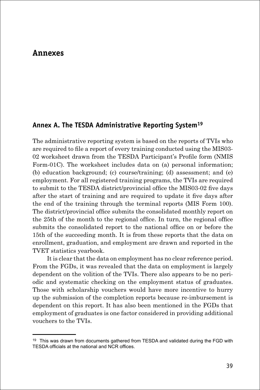#### **Annexes**

#### **Annex A. The TESDA Administrative Reporting System19**

The administrative reporting system is based on the reports of TVIs who are required to file a report of every training conducted using the MIS03- 02 worksheet drawn from the TESDA Participant's Profile form (NMIS Form-01C). The worksheet includes data on (a) personal information; (b) education background; (c) course/training; (d) assessment; and (e) employment. For all registered training programs, the TVIs are required to submit to the TESDA district/provincial office the MIS03-02 five days after the start of training and are required to update it five days after the end of the training through the terminal reports (MIS Form 100). The district/provincial office submits the consolidated monthly report on the 25th of the month to the regional office. In turn, the regional office submits the consolidated report to the national office on or before the 15th of the succeeding month. It is from these reports that the data on enrollment, graduation, and employment are drawn and reported in the TVET statistics yearbook.

It is clear that the data on employment has no clear reference period. From the FGDs, it was revealed that the data on employment is largely dependent on the volition of the TVIs. There also appears to be no periodic and systematic checking on the employment status of graduates. Those with scholarship vouchers would have more incentive to hurry up the submission of the completion reports because re-imbursement is dependent on this report. It has also been mentioned in the FGDs that employment of graduates is one factor considered in providing additional vouchers to the TVIs.

<sup>&</sup>lt;sup>19</sup> This was drawn from documents gathered from TESDA and validated during the FGD with TESDA officials at the national and NCR offices.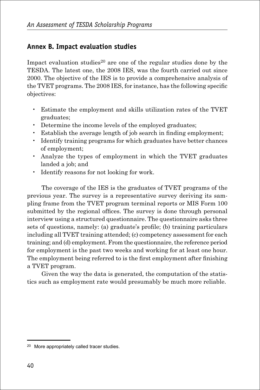## **Annex B. Impact evaluation studies**

Impact evaluation studies<sup>20</sup> are one of the regular studies done by the TESDA. The latest one, the 2008 IES, was the fourth carried out since 2000. The objective of the IES is to provide a comprehensive analysis of the TVET programs. The 2008 IES, for instance, has the following specific objectives:

- Estimate the employment and skills utilization rates of the TVET graduates;
- Determine the income levels of the employed graduates;
- Establish the average length of job search in finding employment;
- Identify training programs for which graduates have better chances of employment;
- Analyze the types of employment in which the TVET graduates landed a job; and
- Identify reasons for not looking for work.

The coverage of the IES is the graduates of TVET programs of the previous year. The survey is a representative survey deriving its sampling frame from the TVET program terminal reports or MIS Form 100 submitted by the regional offices. The survey is done through personal interview using a structured questionnaire. The questionnaire asks three sets of questions, namely: (a) graduate's profile; (b) training particulars including all TVET training attended; (c) competency assessment for each training; and (d) employment. From the questionnaire, the reference period for employment is the past two weeks and working for at least one hour. The employment being referred to is the first employment after finishing a TVET program.

Given the way the data is generated, the computation of the statistics such as employment rate would presumably be much more reliable.

<sup>&</sup>lt;sup>20</sup> More appropriately called tracer studies.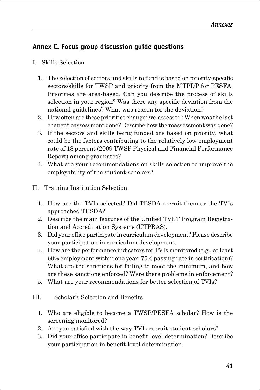## **Annex C. Focus group discussion guide questions**

- I. Skills Selection
	- 1. The selection of sectors and skills to fund is based on priority-specific sectors/skills for TWSP and priority from the MTPDP for PESFA. Priorities are area-based. Can you describe the process of skills selection in your region? Was there any specific deviation from the national guidelines? What was reason for the deviation?
	- 2. How often are these priorities changed/re-assessed? When was the last change/reassessment done? Describe how the reassessment was done?
	- 3. If the sectors and skills being funded are based on priority, what could be the factors contributing to the relatively low employment rate of 18 percent (2009 TWSP Physical and Financial Performance Report) among graduates?
	- 4. What are your recommendations on skills selection to improve the employability of the student-scholars?
- II. Training Institution Selection
	- 1. How are the TVIs selected? Did TESDA recruit them or the TVIs approached TESDA?
	- 2. Describe the main features of the Unified TVET Program Registration and Accreditation Systems (UTPRAS).
	- 3. Did your office participate in curriculum development? Please describe your participation in curriculum development.
	- 4. How are the performance indicators for TVIs monitored (e.g., at least 60% employment within one year; 75% passing rate in certification)? What are the sanctions for failing to meet the minimum, and how are these sanctions enforced? Were there problems in enforcement?
	- 5. What are your recommendations for better selection of TVIs?
- III. Scholar's Selection and Benefits
	- 1. Who are eligible to become a TWSP/PESFA scholar? How is the screening monitored?
	- 2. Are you satisfied with the way TVIs recruit student-scholars?
	- 3. Did your office participate in benefit level determination? Describe your participation in benefit level determination.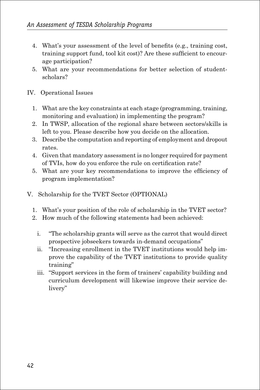- 4. What's your assessment of the level of benefits (e.g., training cost, training support fund, tool kit cost)? Are these sufficient to encourage participation?
- 5. What are your recommendations for better selection of studentscholars?
- IV. Operational Issues
	- 1. What are the key constraints at each stage (programming, training, monitoring and evaluation) in implementing the program?
	- 2. In TWSP, allocation of the regional share between sectors/skills is left to you. Please describe how you decide on the allocation.
	- 3. Describe the computation and reporting of employment and dropout rates.
	- 4. Given that mandatory assessment is no longer required for payment of TVIs, how do you enforce the rule on certification rate?
	- 5. What are your key recommendations to improve the efficiency of program implementation?
- V. Scholarship for the TVET Sector (OPTIONAL)
	- 1. What's your position of the role of scholarship in the TVET sector?
	- 2. How much of the following statements had been achieved:
		- i. "The scholarship grants will serve as the carrot that would direct prospective jobseekers towards in-demand occupations"
		- ii. "Increasing enrollment in the TVET institutions would help improve the capability of the TVET institutions to provide quality training"
		- iii. "Support services in the form of trainers' capability building and curriculum development will likewise improve their service delivery"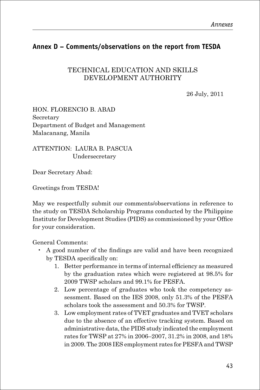## **Annex D – Comments/observations on the report from TESDA**

#### TECHNICAL EDUCATION AND SKILLS DEVELOPMENT AUTHORITY

26 July, 2011

HON. FLORENCIO B. ABAD Secretary Department of Budget and Management Malacanang, Manila

ATTENTION: LAURA B. PASCUA Undersecretary

Dear Secretary Abad:

Greetings from TESDA!

May we respectfully submit our comments/observations in reference to the study on TESDA Scholarship Programs conducted by the Philippine Institute for Development Studies (PIDS) as commissioned by your Office for your consideration.

General Comments:

- A good number of the findings are valid and have been recognized by TESDA specifically on:
	- 1. Better performance in terms of internal efficiency as measured by the graduation rates which were registered at 98.5% for 2009 TWSP scholars and 99.1% for PESFA.
	- 2. Low percentage of graduates who took the competency assessment. Based on the IES 2008, only 51.3% of the PESFA scholars took the assessment and 50.3% for TWSP.
	- 3. Low employment rates of TVET graduates and TVET scholars due to the absence of an effective tracking system. Based on administrative data, the PIDS study indicated the employment rates for TWSP at 27% in 2006–2007, 31.2% in 2008, and 18% in 2009. The 2008 IES employment rates for PESFA and TWSP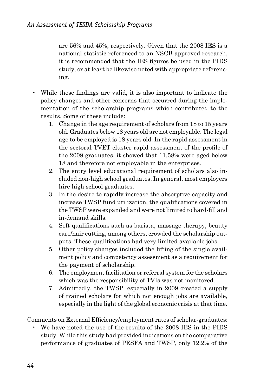are 56% and 45%, respectively. Given that the 2008 IES is a national statistic referenced to an NSCB-approved research, it is recommended that the IES figures be used in the PIDS study, or at least be likewise noted with appropriate referencing.

- While these findings are valid, it is also important to indicate the policy changes and other concerns that occurred during the implementation of the scholarship programs which contributed to the results. Some of these include:
	- 1. Change in the age requirement of scholars from 18 to 15 years old. Graduates below 18 years old are not employable. The legal age to be employed is 18 years old. In the rapid assessment in the sectoral TVET cluster rapid assessment of the profile of the 2009 graduates, it showed that 11.58% were aged below 18 and therefore not employable in the enterprises.
	- 2. The entry level educational requirement of scholars also included non-high school graduates. In general, most employers hire high school graduates.
	- 3. In the desire to rapidly increase the absorptive capacity and increase TWSP fund utilization, the qualifications covered in the TWSP were expanded and were not limited to hard-fill and in-demand skills.
	- 4. Soft qualifications such as barista, massage therapy, beauty care/hair cutting, among others, crowded the scholarship outputs. These qualifications had very limited available jobs.
	- 5. Other policy changes included the lifting of the single availment policy and competency assessment as a requirement for the payment of scholarship.
	- 6. The employment facilitation or referral system for the scholars which was the responsibility of TVIs was not monitored.
	- 7. Admittedly, the TWSP, especially in 2009 created a supply of trained scholars for which not enough jobs are available, especially in the light of the global economic crisis at that time.

Comments on External Efficiency/employment rates of scholar-graduates:

 • We have noted the use of the results of the 2008 IES in the PIDS study. While this study had provided indications on the comparative performance of graduates of PESFA and TWSP, only 12.2% of the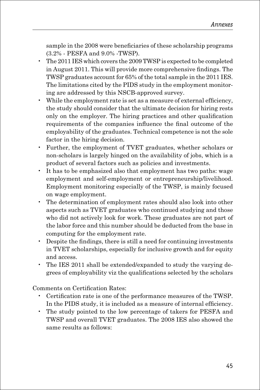sample in the 2008 were beneficiaries of these scholarship programs (3.2% - PESFA and 9.0% -TWSP).

- The 2011 IES which covers the 2009 TWSP is expected to be completed in August 2011. This will provide more comprehensive findings. The TWSP graduates account for 65% of the total sample in the 2011 IES. The limitations cited by the PIDS study in the employment monitoring are addressed by this NSCB-approved survey.
- While the employment rate is set as a measure of external efficiency, the study should consider that the ultimate decision for hiring rests only on the employer. The hiring practices and other qualification requirements of the companies influence the final outcome of the employability of the graduates. Technical competence is not the sole factor in the hiring decision.
- Further, the employment of TVET graduates, whether scholars or non-scholars is largely hinged on the availability of jobs, which is a product of several factors such as policies and investments.
- It has to be emphasized also that employment has two paths: wage employment and self-employment or entrepreneurship/livelihood. Employment monitoring especially of the TWSP, is mainly focused on wage employment.
- The determination of employment rates should also look into other aspects such as TVET graduates who continued studying and those who did not actively look for work. These graduates are not part of the labor force and this number should be deducted from the base in computing for the employment rate.
- Despite the findings, there is still a need for continuing investments in TVET scholarships, especially for inclusive growth and for equity and access.
- The IES 2011 shall be extended/expanded to study the varying degrees of employability viz the qualifications selected by the scholars

Comments on Certification Rates:

- Certification rate is one of the performance measures of the TWSP. In the PIDS study, it is included as a measure of internal efficiency.
- The study pointed to the low percentage of takers for PESFA and TWSP and overall TVET graduates. The 2008 IES also showed the same results as follows: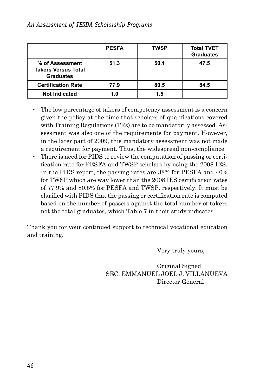|                                                                   | <b>PESFA</b> | <b>TWSP</b> | <b>Total TVET</b><br><b>Graduates</b> |
|-------------------------------------------------------------------|--------------|-------------|---------------------------------------|
| % of Assessment<br><b>Takers Versus Total</b><br><b>Graduates</b> | 51.3         | 50.1        | 47.5                                  |
| <b>Certification Rate</b>                                         | 77.9         | 80.5        | 84.5                                  |
| <b>Not Indicated</b>                                              | 1.0          | 1.5         |                                       |

- The low percentage of takers of competency assessment is a concern given the policy at the time that scholars of qualifications covered with Training Regulations (TRs) are to be mandatorily assessed. Assessment was also one of the requirements for payment. However, in the later part of 2009, this mandatory assessment was not made a requirement for payment. Thus, the widespread non-compliance.
- There is need for PIDS to review the computation of passing or certification rate for PESFA and TWSP scholars by using the 2008 IES. In the PIDS report, the passing rates are 38% for PESFA and 40% for TWSP which are way lower than the 2008 IES certification rates of 77.9% and 80.5% for PESFA and TWSP, respectively. It must be clarified with PIDS that the passing or certification rate is computed based on the number of passers against the total number of takers not the total graduates, which Table 7 in their study indicates.

Thank you for your continued support to technical vocational education and training.

Very truly yours,

 Original Signed SEC. EMMANUEL JOEL J. VILLANUEVA Director General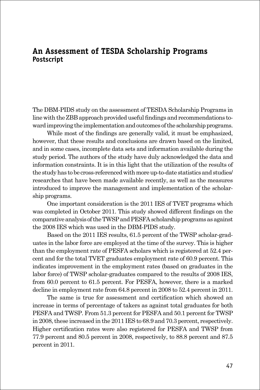### **An Assessment of TESDA Scholarship Programs Postscript**

The DBM-PIDS study on the assessment of TESDA Scholarship Programs in line with the ZBB approach provided useful findings and recommendations toward improving the implementation and outcomes of the scholarship programs.

While most of the findings are generally valid, it must be emphasized, however, that these results and conclusions are drawn based on the limited, and in some cases, incomplete data sets and information available during the study period. The authors of the study have duly acknowledged the data and information constraints. It is in this light that the utilization of the results of the study has to be cross-referenced with more up-to-date statistics and studies/ researches that have been made available recently, as well as the measures introduced to improve the management and implementation of the scholarship programs.

One important consideration is the 2011 IES of TVET programs which was completed in October 2011. This study showed different findings on the comparative analysis of the TWSP and PESFA scholarship programs as against the 2008 IES which was used in the DBM-PIDS study.

Based on the 2011 IES results, 61.5 percent of the TWSP scholar-graduates in the labor force are employed at the time of the survey. This is higher than the employment rate of PESFA scholars which is registered at 52.4 percent and for the total TVET graduates employment rate of 60.9 percent. This indicates improvement in the employment rates (based on graduates in the labor force) of TWSP scholar-graduates compared to the results of 2008 IES, from 60.0 percent to 61.5 percent. For PESFA, however, there is a marked decline in employment rate from 64.8 percent in 2008 to 52.4 percent in 2011.

The same is true for assessment and certification which showed an increase in terms of percentage of takers as against total graduates for both PESFA and TWSP. From 51.3 percent for PESFA and 50.1 percent for TWSP in 2008, these increased in the 2011 IES to 68.9 and 70.3 percent, respectively. Higher certification rates were also registered for PESFA and TWSP from 77.9 percent and 80.5 percent in 2008, respectively, to 88.8 percent and 87.5 percent in 2011.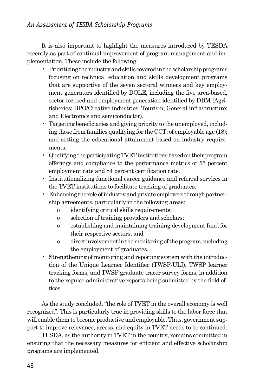It is also important to highlight the measures introduced by TESDA recently as part of continual improvement of program management and implementation. These include the following:

- Prioritizing the industry and skills covered in the scholarship programs focusing on technical education and skills development programs that are supportive of the seven sectoral winners and key employment generators identified by DOLE, including the five area-based, sector-focused and employment generation identified by DBM (Agrifisheries; BPO/Creative industries; Tourism; General infrastructure; and Electronics and semiconductor).
- Targeting beneficiaries and giving priority to the unemployed, including those from families qualifying for the CCT; of employable age (18); and setting the educational attainment based on industry requirements.
- Qualifying the participating TVET institutions based on their program offerings and compliance to the performance metrics of 55 percent employment rate and 84 percent certification rate.
- Institutionalizing functional career guidance and referral services in the TVET institutions to facilitate tracking of graduates.
- Enhancing the role of industry and private employers through partnership agreements, particularly in the following areas:
	- o identifying critical skills requirements;
	- o selection of training providers and scholars;
	- o establishing and maintaining training development fund for their respective sectors; and
	- o direct involvement in the monitoring of the program, including the employment of graduates.
- Strengthening of monitoring and reporting system with the introduction of the Unique Learner Identifier (TWSP-ULI), TWSP learner tracking forms, and TWSP graduate tracer survey forms, in addition to the regular administrative reports being submitted by the field offices.

As the study concluded, "the role of TVET in the overall economy is well recognized". This is particularly true in providing skills to the labor force that will enable them to become productive and employable. Thus, government support to improve relevance, access, and equity in TVET needs to be continued.

TESDA, as the authority in TVET in the country, remains committed in ensuring that the necessary measures for efficient and effective scholarship programs are implemented.